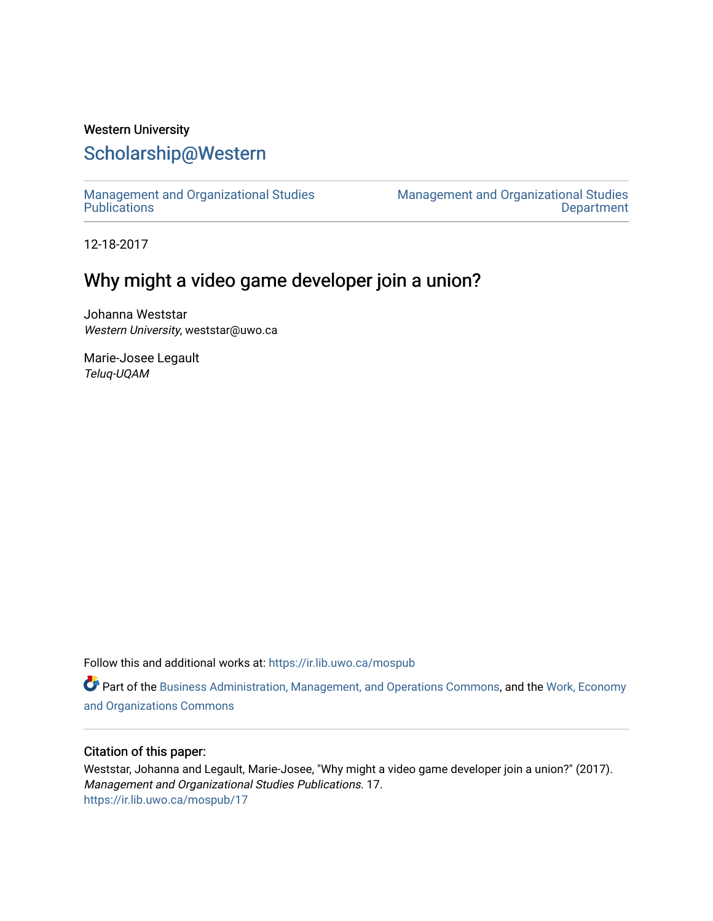## Western University [Scholarship@Western](https://ir.lib.uwo.ca/)

[Management and Organizational Studies](https://ir.lib.uwo.ca/mospub)  **Publications** 

[Management and Organizational Studies](https://ir.lib.uwo.ca/mos)  **Department** 

12-18-2017

## Why might a video game developer join a union?

Johanna Weststar Western University, weststar@uwo.ca

Marie-Josee Legault Teluq-UQAM

Follow this and additional works at: [https://ir.lib.uwo.ca/mospub](https://ir.lib.uwo.ca/mospub?utm_source=ir.lib.uwo.ca%2Fmospub%2F17&utm_medium=PDF&utm_campaign=PDFCoverPages) 

Part of the [Business Administration, Management, and Operations Commons](http://network.bepress.com/hgg/discipline/623?utm_source=ir.lib.uwo.ca%2Fmospub%2F17&utm_medium=PDF&utm_campaign=PDFCoverPages), and the [Work, Economy](http://network.bepress.com/hgg/discipline/433?utm_source=ir.lib.uwo.ca%2Fmospub%2F17&utm_medium=PDF&utm_campaign=PDFCoverPages)  [and Organizations Commons](http://network.bepress.com/hgg/discipline/433?utm_source=ir.lib.uwo.ca%2Fmospub%2F17&utm_medium=PDF&utm_campaign=PDFCoverPages)

#### Citation of this paper:

Weststar, Johanna and Legault, Marie-Josee, "Why might a video game developer join a union?" (2017). Management and Organizational Studies Publications. 17. [https://ir.lib.uwo.ca/mospub/17](https://ir.lib.uwo.ca/mospub/17?utm_source=ir.lib.uwo.ca%2Fmospub%2F17&utm_medium=PDF&utm_campaign=PDFCoverPages)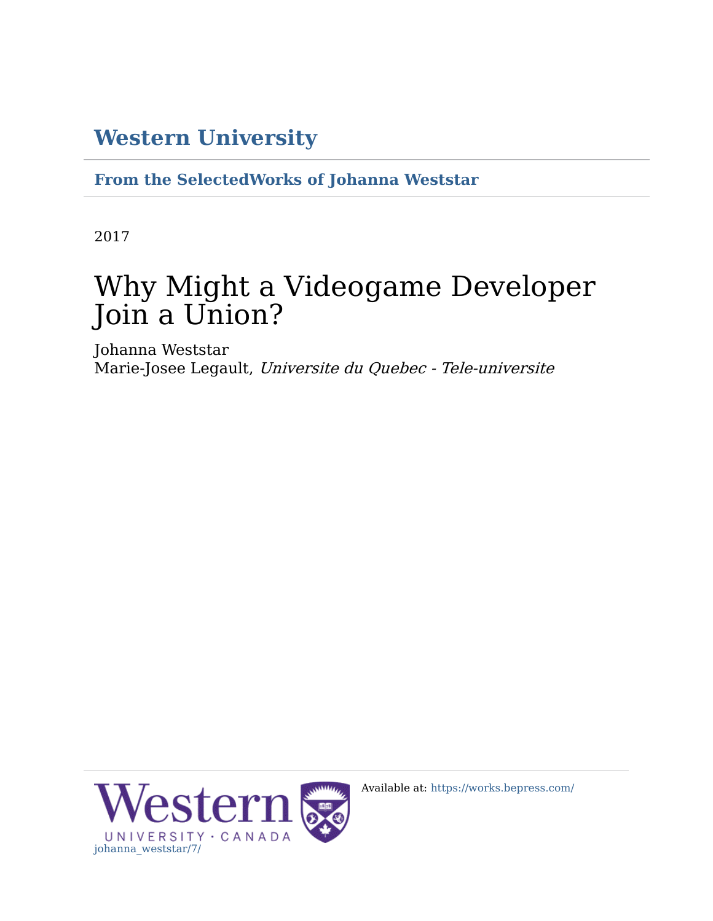## **[Western University](http://www.uwo.ca/)**

**[From the SelectedWorks of Johanna Weststar](https://works.bepress.com/johanna_weststar/)**

2017

# Why Might a Videogame Developer Join a Union?

Johanna Weststar Marie-Josee Legault, Universite du Quebec - Tele-universite



Available at: [https://works.bepress.com/](https://works.bepress.com/johanna_weststar/7/)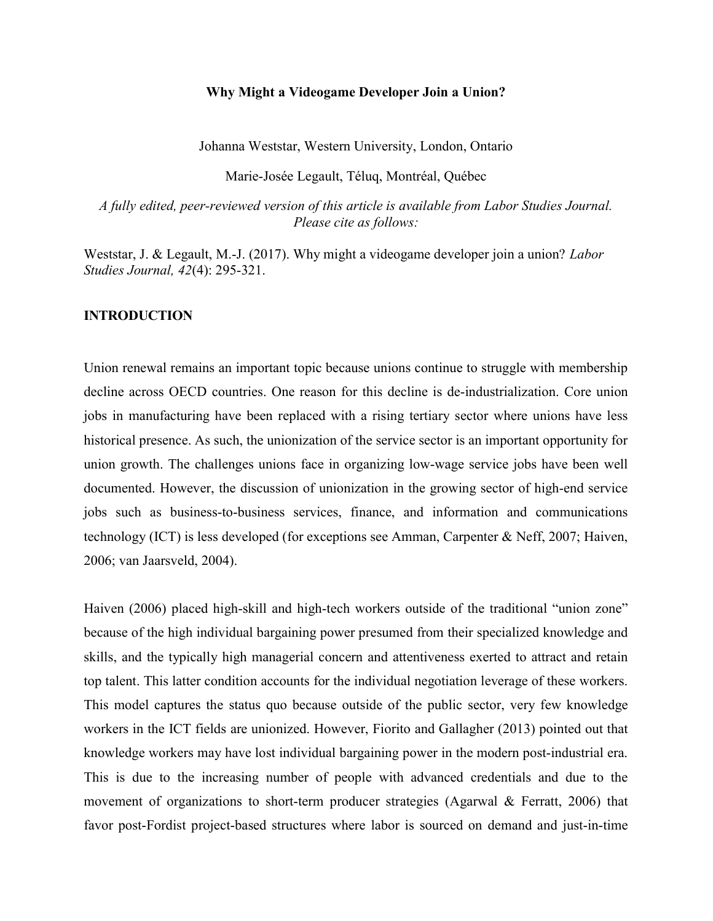#### Why Might a Videogame Developer Join a Union?

Johanna Weststar, Western University, London, Ontario

Marie-Josée Legault, Téluq, Montréal, Québec

A fully edited, peer-reviewed version of this article is available from Labor Studies Journal. Please cite as follows:

Weststar, J. & Legault, M.-J. (2017). Why might a videogame developer join a union? Labor Studies Journal, 42(4): 295-321.

#### INTRODUCTION

Union renewal remains an important topic because unions continue to struggle with membership decline across OECD countries. One reason for this decline is de-industrialization. Core union jobs in manufacturing have been replaced with a rising tertiary sector where unions have less historical presence. As such, the unionization of the service sector is an important opportunity for union growth. The challenges unions face in organizing low-wage service jobs have been well documented. However, the discussion of unionization in the growing sector of high-end service jobs such as business-to-business services, finance, and information and communications technology (ICT) is less developed (for exceptions see Amman, Carpenter & Neff, 2007; Haiven, 2006; van Jaarsveld, 2004).

Haiven (2006) placed high-skill and high-tech workers outside of the traditional "union zone" because of the high individual bargaining power presumed from their specialized knowledge and skills, and the typically high managerial concern and attentiveness exerted to attract and retain top talent. This latter condition accounts for the individual negotiation leverage of these workers. This model captures the status quo because outside of the public sector, very few knowledge workers in the ICT fields are unionized. However, Fiorito and Gallagher (2013) pointed out that knowledge workers may have lost individual bargaining power in the modern post-industrial era. This is due to the increasing number of people with advanced credentials and due to the movement of organizations to short-term producer strategies (Agarwal & Ferratt, 2006) that favor post-Fordist project-based structures where labor is sourced on demand and just-in-time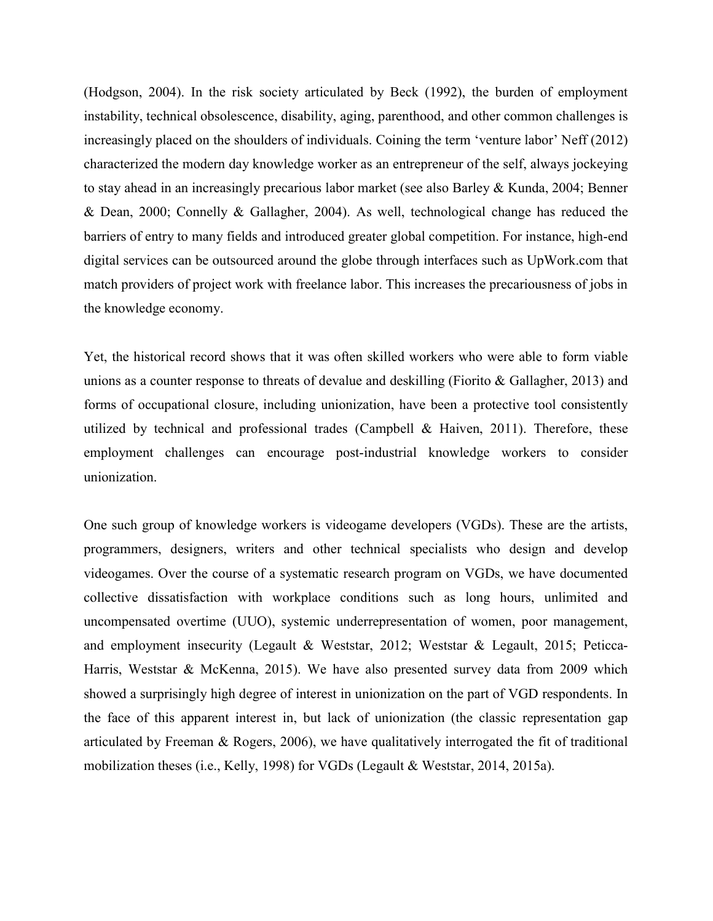(Hodgson, 2004). In the risk society articulated by Beck (1992), the burden of employment instability, technical obsolescence, disability, aging, parenthood, and other common challenges is increasingly placed on the shoulders of individuals. Coining the term 'venture labor' Neff (2012) characterized the modern day knowledge worker as an entrepreneur of the self, always jockeying to stay ahead in an increasingly precarious labor market (see also Barley & Kunda, 2004; Benner & Dean, 2000; Connelly & Gallagher, 2004). As well, technological change has reduced the barriers of entry to many fields and introduced greater global competition. For instance, high-end digital services can be outsourced around the globe through interfaces such as UpWork.com that match providers of project work with freelance labor. This increases the precariousness of jobs in the knowledge economy.

Yet, the historical record shows that it was often skilled workers who were able to form viable unions as a counter response to threats of devalue and deskilling (Fiorito & Gallagher, 2013) and forms of occupational closure, including unionization, have been a protective tool consistently utilized by technical and professional trades (Campbell & Haiven, 2011). Therefore, these employment challenges can encourage post-industrial knowledge workers to consider unionization.

One such group of knowledge workers is videogame developers (VGDs). These are the artists, programmers, designers, writers and other technical specialists who design and develop videogames. Over the course of a systematic research program on VGDs, we have documented collective dissatisfaction with workplace conditions such as long hours, unlimited and uncompensated overtime (UUO), systemic underrepresentation of women, poor management, and employment insecurity (Legault & Weststar, 2012; Weststar & Legault, 2015; Peticca-Harris, Weststar & McKenna, 2015). We have also presented survey data from 2009 which showed a surprisingly high degree of interest in unionization on the part of VGD respondents. In the face of this apparent interest in, but lack of unionization (the classic representation gap articulated by Freeman & Rogers, 2006), we have qualitatively interrogated the fit of traditional mobilization theses (i.e., Kelly, 1998) for VGDs (Legault & Weststar, 2014, 2015a).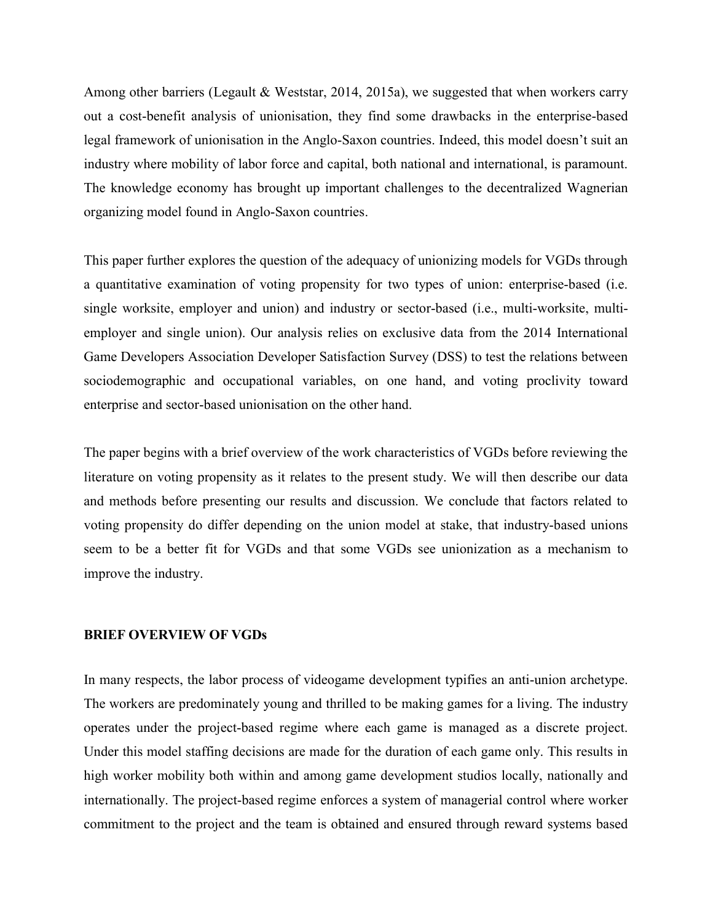Among other barriers (Legault & Weststar, 2014, 2015a), we suggested that when workers carry out a cost-benefit analysis of unionisation, they find some drawbacks in the enterprise-based legal framework of unionisation in the Anglo-Saxon countries. Indeed, this model doesn't suit an industry where mobility of labor force and capital, both national and international, is paramount. The knowledge economy has brought up important challenges to the decentralized Wagnerian organizing model found in Anglo-Saxon countries.

This paper further explores the question of the adequacy of unionizing models for VGDs through a quantitative examination of voting propensity for two types of union: enterprise-based (i.e. single worksite, employer and union) and industry or sector-based (i.e., multi-worksite, multiemployer and single union). Our analysis relies on exclusive data from the 2014 International Game Developers Association Developer Satisfaction Survey (DSS) to test the relations between sociodemographic and occupational variables, on one hand, and voting proclivity toward enterprise and sector-based unionisation on the other hand.

The paper begins with a brief overview of the work characteristics of VGDs before reviewing the literature on voting propensity as it relates to the present study. We will then describe our data and methods before presenting our results and discussion. We conclude that factors related to voting propensity do differ depending on the union model at stake, that industry-based unions seem to be a better fit for VGDs and that some VGDs see unionization as a mechanism to improve the industry.

#### BRIEF OVERVIEW OF VGDs

In many respects, the labor process of videogame development typifies an anti-union archetype. The workers are predominately young and thrilled to be making games for a living. The industry operates under the project-based regime where each game is managed as a discrete project. Under this model staffing decisions are made for the duration of each game only. This results in high worker mobility both within and among game development studios locally, nationally and internationally. The project-based regime enforces a system of managerial control where worker commitment to the project and the team is obtained and ensured through reward systems based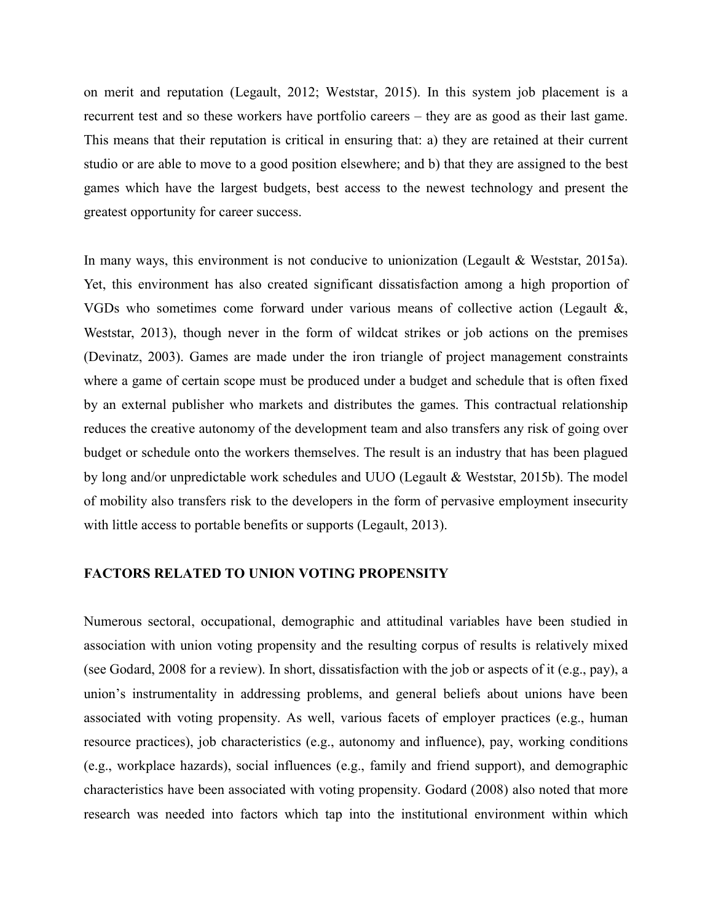on merit and reputation (Legault, 2012; Weststar, 2015). In this system job placement is a recurrent test and so these workers have portfolio careers – they are as good as their last game. This means that their reputation is critical in ensuring that: a) they are retained at their current studio or are able to move to a good position elsewhere; and b) that they are assigned to the best games which have the largest budgets, best access to the newest technology and present the greatest opportunity for career success.

In many ways, this environment is not conducive to unionization (Legault & Weststar, 2015a). Yet, this environment has also created significant dissatisfaction among a high proportion of VGDs who sometimes come forward under various means of collective action (Legault  $\&\,$ , Weststar, 2013), though never in the form of wildcat strikes or job actions on the premises (Devinatz, 2003). Games are made under the iron triangle of project management constraints where a game of certain scope must be produced under a budget and schedule that is often fixed by an external publisher who markets and distributes the games. This contractual relationship reduces the creative autonomy of the development team and also transfers any risk of going over budget or schedule onto the workers themselves. The result is an industry that has been plagued by long and/or unpredictable work schedules and UUO (Legault & Weststar, 2015b). The model of mobility also transfers risk to the developers in the form of pervasive employment insecurity with little access to portable benefits or supports (Legault, 2013).

#### FACTORS RELATED TO UNION VOTING PROPENSITY

Numerous sectoral, occupational, demographic and attitudinal variables have been studied in association with union voting propensity and the resulting corpus of results is relatively mixed (see Godard, 2008 for a review). In short, dissatisfaction with the job or aspects of it (e.g., pay), a union's instrumentality in addressing problems, and general beliefs about unions have been associated with voting propensity. As well, various facets of employer practices (e.g., human resource practices), job characteristics (e.g., autonomy and influence), pay, working conditions (e.g., workplace hazards), social influences (e.g., family and friend support), and demographic characteristics have been associated with voting propensity. Godard (2008) also noted that more research was needed into factors which tap into the institutional environment within which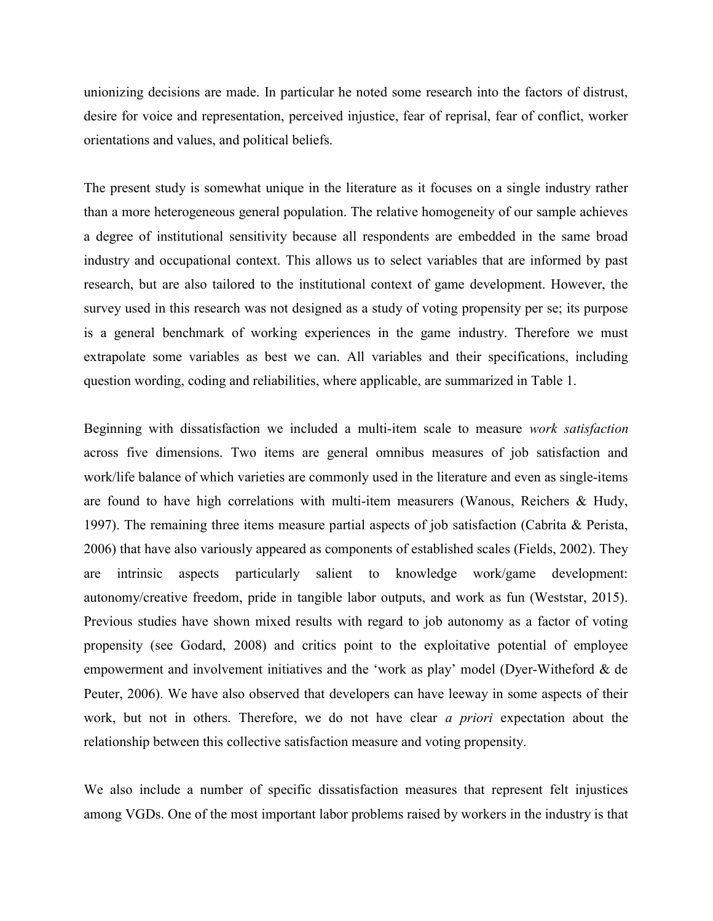unionizing decisions are made. In particular he noted some research into the factors of distrust, desire for voice and representation, perceived injustice, fear of reprisal, fear of conflict, worker orientations and values, and political beliefs.

The present study is somewhat unique in the literature as it focuses on a single industry rather than a more heterogeneous general population. The relative homogeneity of our sample achieves a degree of institutional sensitivity because all respondents are embedded in the same broad industry and occupational context. This allows us to select variables that are informed by past research, but are also tailored to the institutional context of game development. However, the survey used in this research was not designed as a study of voting propensity per se; its purpose is a general benchmark of working experiences in the game industry. Therefore we must extrapolate some variables as best we can. All variables and their specifications, including question wording, coding and reliabilities, where applicable, are summarized in Table 1.

Beginning with dissatisfaction we included a multi-item scale to measure work satisfaction across five dimensions. Two items are general omnibus measures of job satisfaction and work/life balance of which varieties are commonly used in the literature and even as single-items are found to have high correlations with multi-item measurers (Wanous, Reichers & Hudy, 1997). The remaining three items measure partial aspects of job satisfaction (Cabrita & Perista, 2006) that have also variously appeared as components of established scales (Fields, 2002). They are intrinsic aspects particularly salient to knowledge work/game development: autonomy/creative freedom, pride in tangible labor outputs, and work as fun (Weststar, 2015). Previous studies have shown mixed results with regard to job autonomy as a factor of voting propensity (see Godard, 2008) and critics point to the exploitative potential of employee empowerment and involvement initiatives and the 'work as play' model (Dyer-Witheford & de Peuter, 2006). We have also observed that developers can have leeway in some aspects of their work, but not in others. Therefore, we do not have clear a priori expectation about the relationship between this collective satisfaction measure and voting propensity.

We also include a number of specific dissatisfaction measures that represent felt injustices among VGDs. One of the most important labor problems raised by workers in the industry is that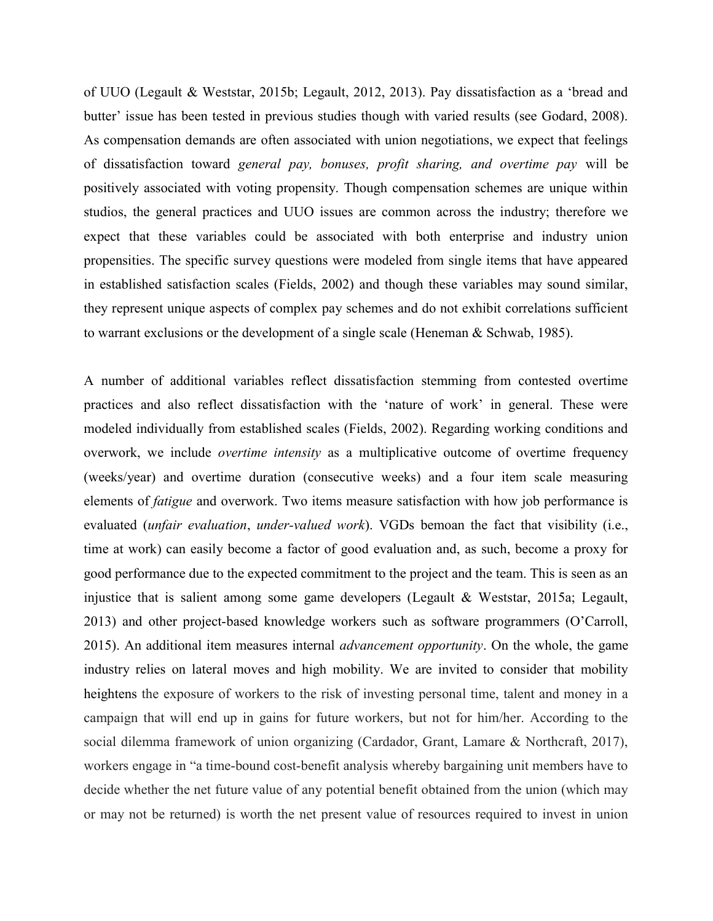of UUO (Legault & Weststar, 2015b; Legault, 2012, 2013). Pay dissatisfaction as a 'bread and butter' issue has been tested in previous studies though with varied results (see Godard, 2008). As compensation demands are often associated with union negotiations, we expect that feelings of dissatisfaction toward general pay, bonuses, profit sharing, and overtime pay will be positively associated with voting propensity. Though compensation schemes are unique within studios, the general practices and UUO issues are common across the industry; therefore we expect that these variables could be associated with both enterprise and industry union propensities. The specific survey questions were modeled from single items that have appeared in established satisfaction scales (Fields, 2002) and though these variables may sound similar, they represent unique aspects of complex pay schemes and do not exhibit correlations sufficient to warrant exclusions or the development of a single scale (Heneman & Schwab, 1985).

A number of additional variables reflect dissatisfaction stemming from contested overtime practices and also reflect dissatisfaction with the 'nature of work' in general. These were modeled individually from established scales (Fields, 2002). Regarding working conditions and overwork, we include overtime intensity as a multiplicative outcome of overtime frequency (weeks/year) and overtime duration (consecutive weeks) and a four item scale measuring elements of *fatigue* and overwork. Two items measure satisfaction with how job performance is evaluated (unfair evaluation, under-valued work). VGDs bemoan the fact that visibility (i.e., time at work) can easily become a factor of good evaluation and, as such, become a proxy for good performance due to the expected commitment to the project and the team. This is seen as an injustice that is salient among some game developers (Legault & Weststar, 2015a; Legault, 2013) and other project-based knowledge workers such as software programmers (O'Carroll, 2015). An additional item measures internal *advancement opportunity*. On the whole, the game industry relies on lateral moves and high mobility. We are invited to consider that mobility heightens the exposure of workers to the risk of investing personal time, talent and money in a campaign that will end up in gains for future workers, but not for him/her. According to the social dilemma framework of union organizing (Cardador, Grant, Lamare & Northcraft, 2017), workers engage in "a time-bound cost-benefit analysis whereby bargaining unit members have to decide whether the net future value of any potential benefit obtained from the union (which may or may not be returned) is worth the net present value of resources required to invest in union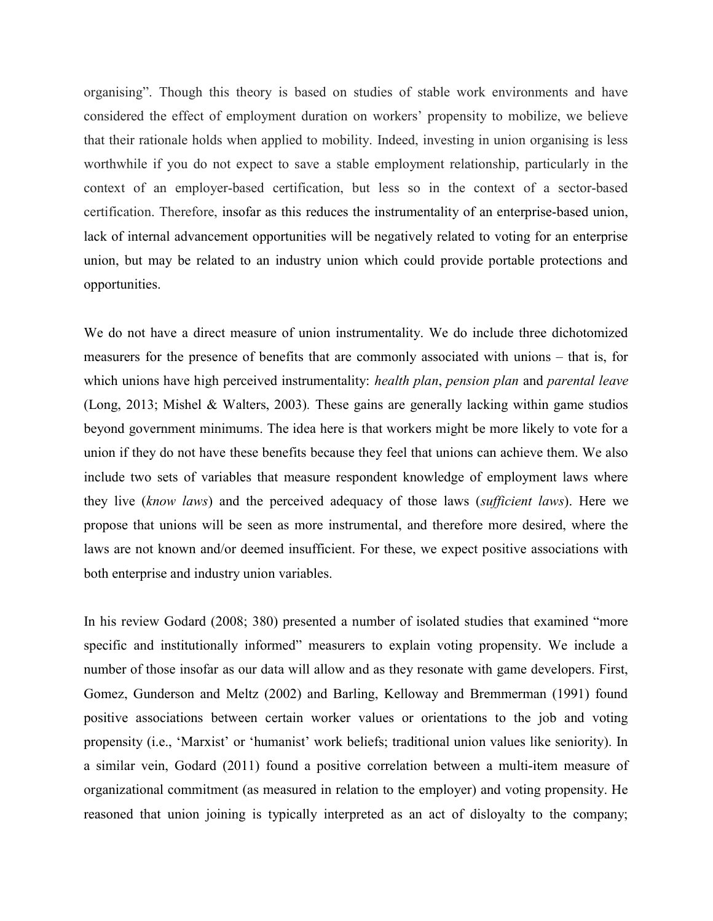organising". Though this theory is based on studies of stable work environments and have considered the effect of employment duration on workers' propensity to mobilize, we believe that their rationale holds when applied to mobility. Indeed, investing in union organising is less worthwhile if you do not expect to save a stable employment relationship, particularly in the context of an employer-based certification, but less so in the context of a sector-based certification. Therefore, insofar as this reduces the instrumentality of an enterprise-based union, lack of internal advancement opportunities will be negatively related to voting for an enterprise union, but may be related to an industry union which could provide portable protections and opportunities.

We do not have a direct measure of union instrumentality. We do include three dichotomized measurers for the presence of benefits that are commonly associated with unions – that is, for which unions have high perceived instrumentality: *health plan, pension plan* and *parental leave* (Long, 2013; Mishel & Walters, 2003). These gains are generally lacking within game studios beyond government minimums. The idea here is that workers might be more likely to vote for a union if they do not have these benefits because they feel that unions can achieve them. We also include two sets of variables that measure respondent knowledge of employment laws where they live (know laws) and the perceived adequacy of those laws (sufficient laws). Here we propose that unions will be seen as more instrumental, and therefore more desired, where the laws are not known and/or deemed insufficient. For these, we expect positive associations with both enterprise and industry union variables.

In his review Godard (2008; 380) presented a number of isolated studies that examined "more specific and institutionally informed" measurers to explain voting propensity. We include a number of those insofar as our data will allow and as they resonate with game developers. First, Gomez, Gunderson and Meltz (2002) and Barling, Kelloway and Bremmerman (1991) found positive associations between certain worker values or orientations to the job and voting propensity (i.e., 'Marxist' or 'humanist' work beliefs; traditional union values like seniority). In a similar vein, Godard (2011) found a positive correlation between a multi-item measure of organizational commitment (as measured in relation to the employer) and voting propensity. He reasoned that union joining is typically interpreted as an act of disloyalty to the company;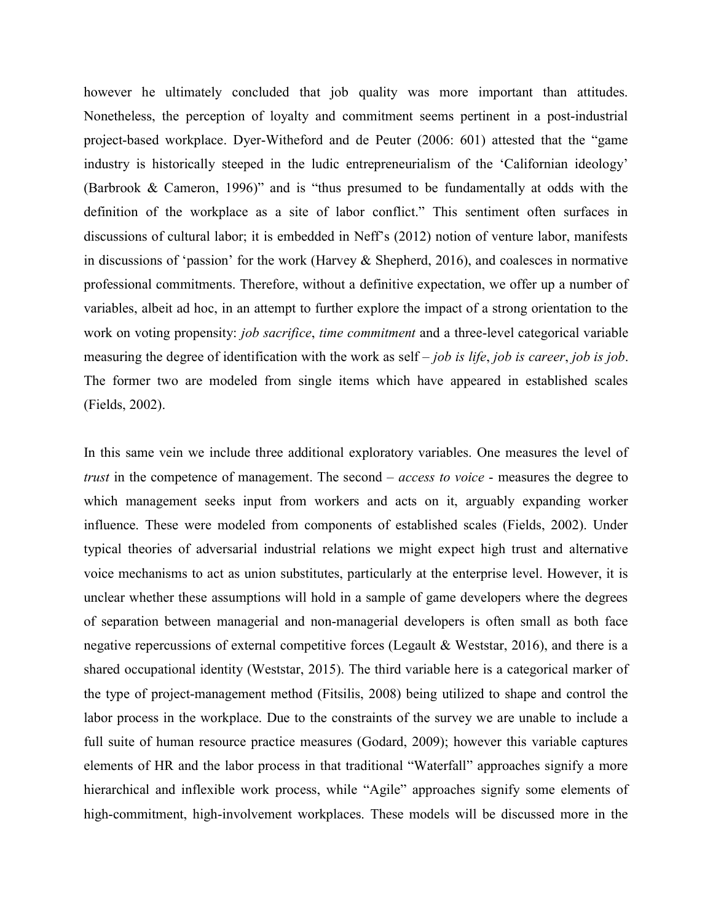however he ultimately concluded that job quality was more important than attitudes. Nonetheless, the perception of loyalty and commitment seems pertinent in a post-industrial project-based workplace. Dyer-Witheford and de Peuter (2006: 601) attested that the "game industry is historically steeped in the ludic entrepreneurialism of the 'Californian ideology' (Barbrook & Cameron, 1996)" and is "thus presumed to be fundamentally at odds with the definition of the workplace as a site of labor conflict." This sentiment often surfaces in discussions of cultural labor; it is embedded in Neff's (2012) notion of venture labor, manifests in discussions of 'passion' for the work (Harvey  $\&$  Shepherd, 2016), and coalesces in normative professional commitments. Therefore, without a definitive expectation, we offer up a number of variables, albeit ad hoc, in an attempt to further explore the impact of a strong orientation to the work on voting propensity: *job sacrifice, time commitment* and a three-level categorical variable measuring the degree of identification with the work as self  $-$  *job is life, job is career, job is job.* The former two are modeled from single items which have appeared in established scales (Fields, 2002).

In this same vein we include three additional exploratory variables. One measures the level of trust in the competence of management. The second – access to voice - measures the degree to which management seeks input from workers and acts on it, arguably expanding worker influence. These were modeled from components of established scales (Fields, 2002). Under typical theories of adversarial industrial relations we might expect high trust and alternative voice mechanisms to act as union substitutes, particularly at the enterprise level. However, it is unclear whether these assumptions will hold in a sample of game developers where the degrees of separation between managerial and non-managerial developers is often small as both face negative repercussions of external competitive forces (Legault & Weststar, 2016), and there is a shared occupational identity (Weststar, 2015). The third variable here is a categorical marker of the type of project-management method (Fitsilis, 2008) being utilized to shape and control the labor process in the workplace. Due to the constraints of the survey we are unable to include a full suite of human resource practice measures (Godard, 2009); however this variable captures elements of HR and the labor process in that traditional "Waterfall" approaches signify a more hierarchical and inflexible work process, while "Agile" approaches signify some elements of high-commitment, high-involvement workplaces. These models will be discussed more in the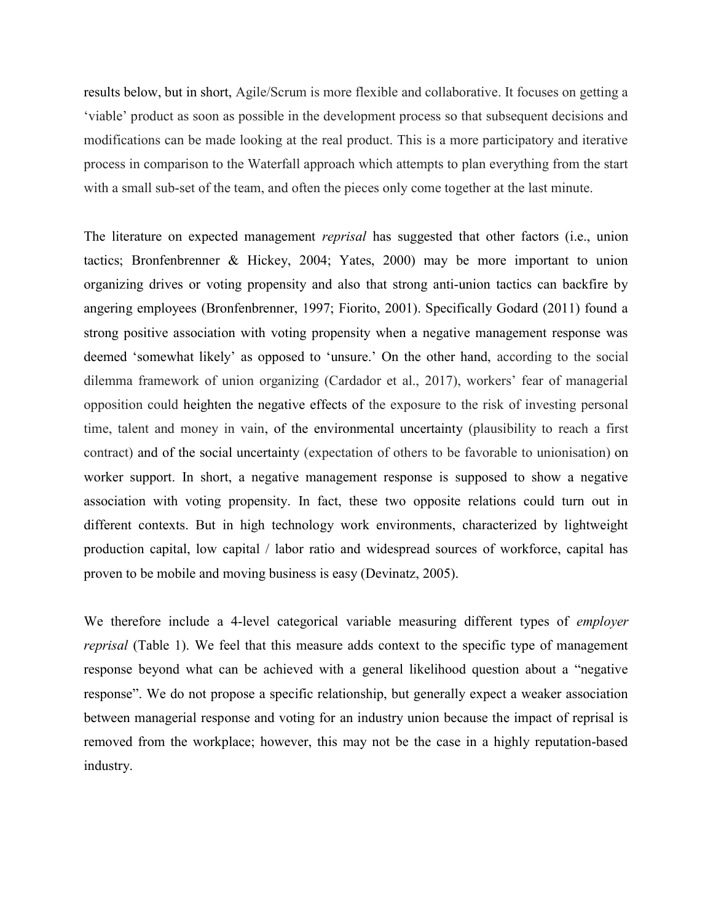results below, but in short, Agile/Scrum is more flexible and collaborative. It focuses on getting a 'viable' product as soon as possible in the development process so that subsequent decisions and modifications can be made looking at the real product. This is a more participatory and iterative process in comparison to the Waterfall approach which attempts to plan everything from the start with a small sub-set of the team, and often the pieces only come together at the last minute.

The literature on expected management *reprisal* has suggested that other factors (i.e., union tactics; Bronfenbrenner & Hickey, 2004; Yates, 2000) may be more important to union organizing drives or voting propensity and also that strong anti-union tactics can backfire by angering employees (Bronfenbrenner, 1997; Fiorito, 2001). Specifically Godard (2011) found a strong positive association with voting propensity when a negative management response was deemed 'somewhat likely' as opposed to 'unsure.' On the other hand, according to the social dilemma framework of union organizing (Cardador et al., 2017), workers' fear of managerial opposition could heighten the negative effects of the exposure to the risk of investing personal time, talent and money in vain, of the environmental uncertainty (plausibility to reach a first contract) and of the social uncertainty (expectation of others to be favorable to unionisation) on worker support. In short, a negative management response is supposed to show a negative association with voting propensity. In fact, these two opposite relations could turn out in different contexts. But in high technology work environments, characterized by lightweight production capital, low capital / labor ratio and widespread sources of workforce, capital has proven to be mobile and moving business is easy (Devinatz, 2005).

We therefore include a 4-level categorical variable measuring different types of *employer* reprisal (Table 1). We feel that this measure adds context to the specific type of management response beyond what can be achieved with a general likelihood question about a "negative response". We do not propose a specific relationship, but generally expect a weaker association between managerial response and voting for an industry union because the impact of reprisal is removed from the workplace; however, this may not be the case in a highly reputation-based industry.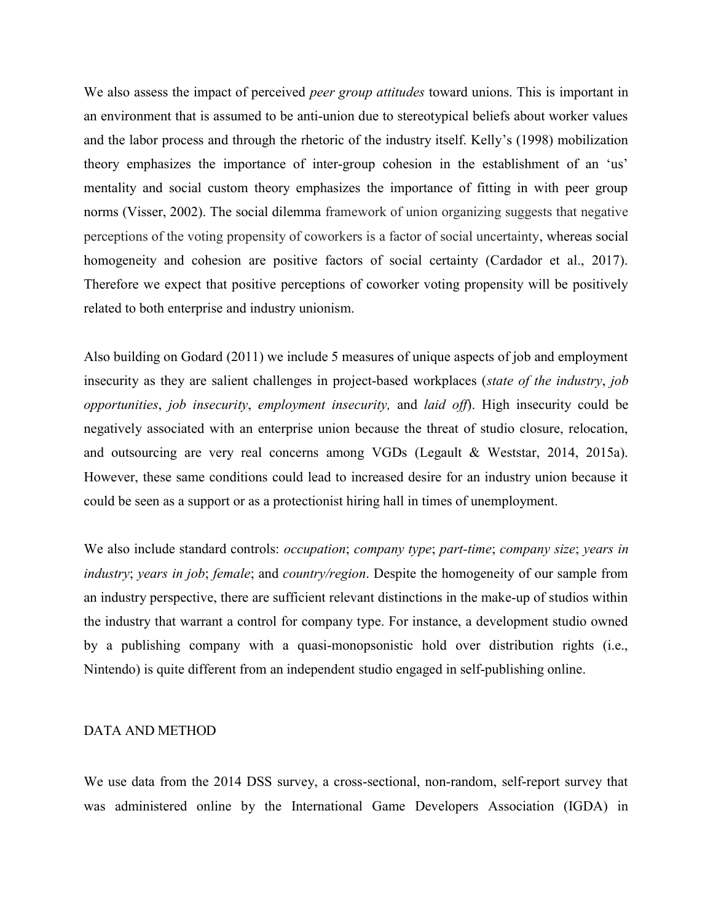We also assess the impact of perceived *peer group attitudes* toward unions. This is important in an environment that is assumed to be anti-union due to stereotypical beliefs about worker values and the labor process and through the rhetoric of the industry itself. Kelly's (1998) mobilization theory emphasizes the importance of inter-group cohesion in the establishment of an 'us' mentality and social custom theory emphasizes the importance of fitting in with peer group norms (Visser, 2002). The social dilemma framework of union organizing suggests that negative perceptions of the voting propensity of coworkers is a factor of social uncertainty, whereas social homogeneity and cohesion are positive factors of social certainty (Cardador et al., 2017). Therefore we expect that positive perceptions of coworker voting propensity will be positively related to both enterprise and industry unionism.

Also building on Godard (2011) we include 5 measures of unique aspects of job and employment insecurity as they are salient challenges in project-based workplaces (state of the industry, job opportunities, job insecurity, employment insecurity, and laid off). High insecurity could be negatively associated with an enterprise union because the threat of studio closure, relocation, and outsourcing are very real concerns among VGDs (Legault & Weststar, 2014, 2015a). However, these same conditions could lead to increased desire for an industry union because it could be seen as a support or as a protectionist hiring hall in times of unemployment.

We also include standard controls: *occupation*; *company type*; *part-time*; *company size*; *years in* industry; years in job; female; and country/region. Despite the homogeneity of our sample from an industry perspective, there are sufficient relevant distinctions in the make-up of studios within the industry that warrant a control for company type. For instance, a development studio owned by a publishing company with a quasi-monopsonistic hold over distribution rights (i.e., Nintendo) is quite different from an independent studio engaged in self-publishing online.

#### DATA AND METHOD

We use data from the 2014 DSS survey, a cross-sectional, non-random, self-report survey that was administered online by the International Game Developers Association (IGDA) in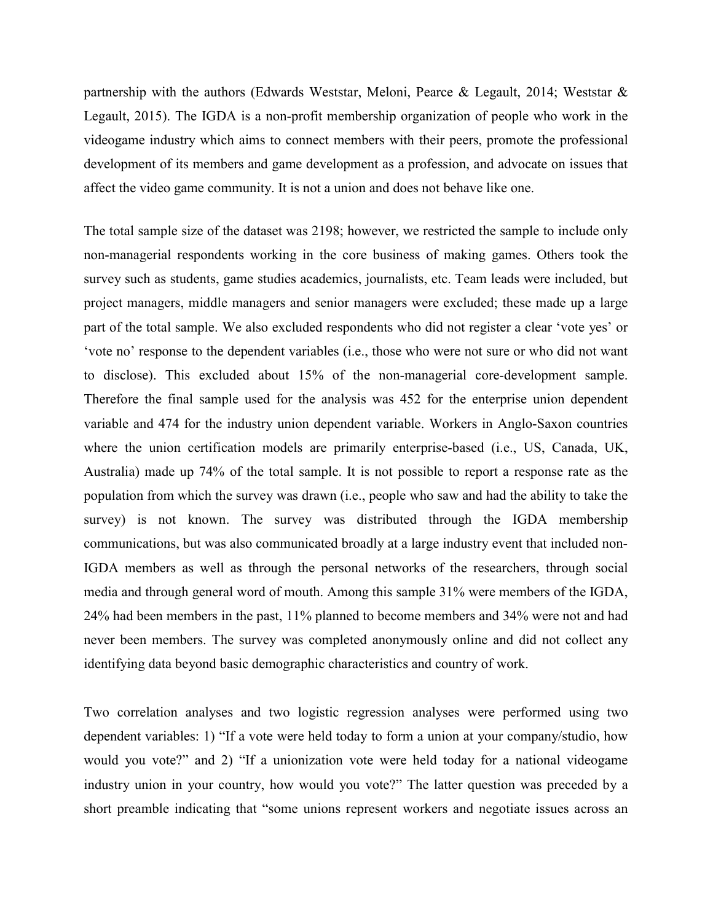partnership with the authors (Edwards Weststar, Meloni, Pearce & Legault, 2014; Weststar & Legault, 2015). The IGDA is a non-profit membership organization of people who work in the videogame industry which aims to connect members with their peers, promote the professional development of its members and game development as a profession, and advocate on issues that affect the video game community. It is not a union and does not behave like one.

The total sample size of the dataset was 2198; however, we restricted the sample to include only non-managerial respondents working in the core business of making games. Others took the survey such as students, game studies academics, journalists, etc. Team leads were included, but project managers, middle managers and senior managers were excluded; these made up a large part of the total sample. We also excluded respondents who did not register a clear 'vote yes' or 'vote no' response to the dependent variables (i.e., those who were not sure or who did not want to disclose). This excluded about 15% of the non-managerial core-development sample. Therefore the final sample used for the analysis was 452 for the enterprise union dependent variable and 474 for the industry union dependent variable. Workers in Anglo-Saxon countries where the union certification models are primarily enterprise-based (i.e., US, Canada, UK, Australia) made up 74% of the total sample. It is not possible to report a response rate as the population from which the survey was drawn (i.e., people who saw and had the ability to take the survey) is not known. The survey was distributed through the IGDA membership communications, but was also communicated broadly at a large industry event that included non-IGDA members as well as through the personal networks of the researchers, through social media and through general word of mouth. Among this sample 31% were members of the IGDA, 24% had been members in the past, 11% planned to become members and 34% were not and had never been members. The survey was completed anonymously online and did not collect any identifying data beyond basic demographic characteristics and country of work.

Two correlation analyses and two logistic regression analyses were performed using two dependent variables: 1) "If a vote were held today to form a union at your company/studio, how would you vote?" and 2) "If a unionization vote were held today for a national videogame industry union in your country, how would you vote?" The latter question was preceded by a short preamble indicating that "some unions represent workers and negotiate issues across an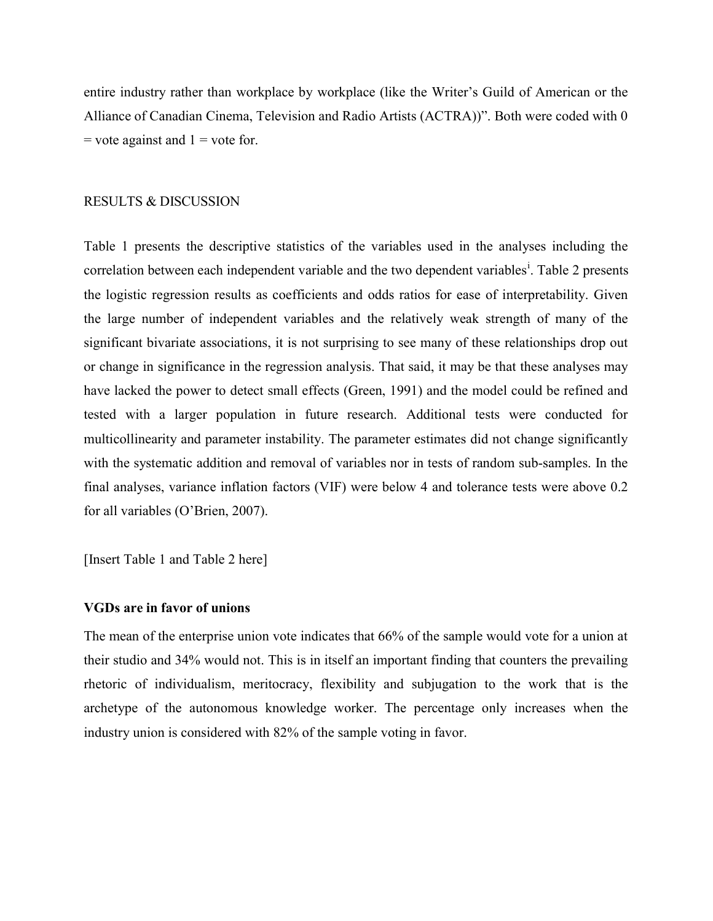entire industry rather than workplace by workplace (like the Writer's Guild of American or the Alliance of Canadian Cinema, Television and Radio Artists (ACTRA))". Both were coded with 0  $=$  vote against and  $1 =$  vote for.

#### RESULTS & DISCUSSION

Table 1 presents the descriptive statistics of the variables used in the analyses including the correlation between each independent variable and the two dependent variables<sup>i</sup>. Table 2 presents the logistic regression results as coefficients and odds ratios for ease of interpretability. Given the large number of independent variables and the relatively weak strength of many of the significant bivariate associations, it is not surprising to see many of these relationships drop out or change in significance in the regression analysis. That said, it may be that these analyses may have lacked the power to detect small effects (Green, 1991) and the model could be refined and tested with a larger population in future research. Additional tests were conducted for multicollinearity and parameter instability. The parameter estimates did not change significantly with the systematic addition and removal of variables nor in tests of random sub-samples. In the final analyses, variance inflation factors (VIF) were below 4 and tolerance tests were above 0.2 for all variables (O'Brien, 2007).

[Insert Table 1 and Table 2 here]

#### VGDs are in favor of unions

The mean of the enterprise union vote indicates that 66% of the sample would vote for a union at their studio and 34% would not. This is in itself an important finding that counters the prevailing rhetoric of individualism, meritocracy, flexibility and subjugation to the work that is the archetype of the autonomous knowledge worker. The percentage only increases when the industry union is considered with 82% of the sample voting in favor.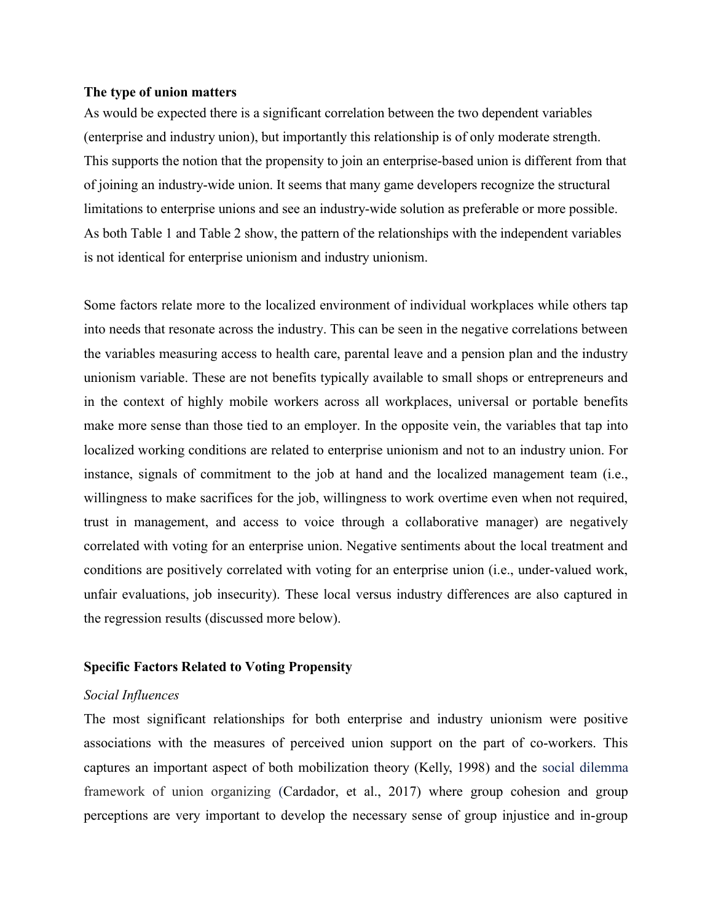#### The type of union matters

As would be expected there is a significant correlation between the two dependent variables (enterprise and industry union), but importantly this relationship is of only moderate strength. This supports the notion that the propensity to join an enterprise-based union is different from that of joining an industry-wide union. It seems that many game developers recognize the structural limitations to enterprise unions and see an industry-wide solution as preferable or more possible. As both Table 1 and Table 2 show, the pattern of the relationships with the independent variables is not identical for enterprise unionism and industry unionism.

Some factors relate more to the localized environment of individual workplaces while others tap into needs that resonate across the industry. This can be seen in the negative correlations between the variables measuring access to health care, parental leave and a pension plan and the industry unionism variable. These are not benefits typically available to small shops or entrepreneurs and in the context of highly mobile workers across all workplaces, universal or portable benefits make more sense than those tied to an employer. In the opposite vein, the variables that tap into localized working conditions are related to enterprise unionism and not to an industry union. For instance, signals of commitment to the job at hand and the localized management team (i.e., willingness to make sacrifices for the job, willingness to work overtime even when not required, trust in management, and access to voice through a collaborative manager) are negatively correlated with voting for an enterprise union. Negative sentiments about the local treatment and conditions are positively correlated with voting for an enterprise union (i.e., under-valued work, unfair evaluations, job insecurity). These local versus industry differences are also captured in the regression results (discussed more below).

#### Specific Factors Related to Voting Propensity

#### Social Influences

The most significant relationships for both enterprise and industry unionism were positive associations with the measures of perceived union support on the part of co-workers. This captures an important aspect of both mobilization theory (Kelly, 1998) and the social dilemma framework of union organizing (Cardador, et al., 2017) where group cohesion and group perceptions are very important to develop the necessary sense of group injustice and in-group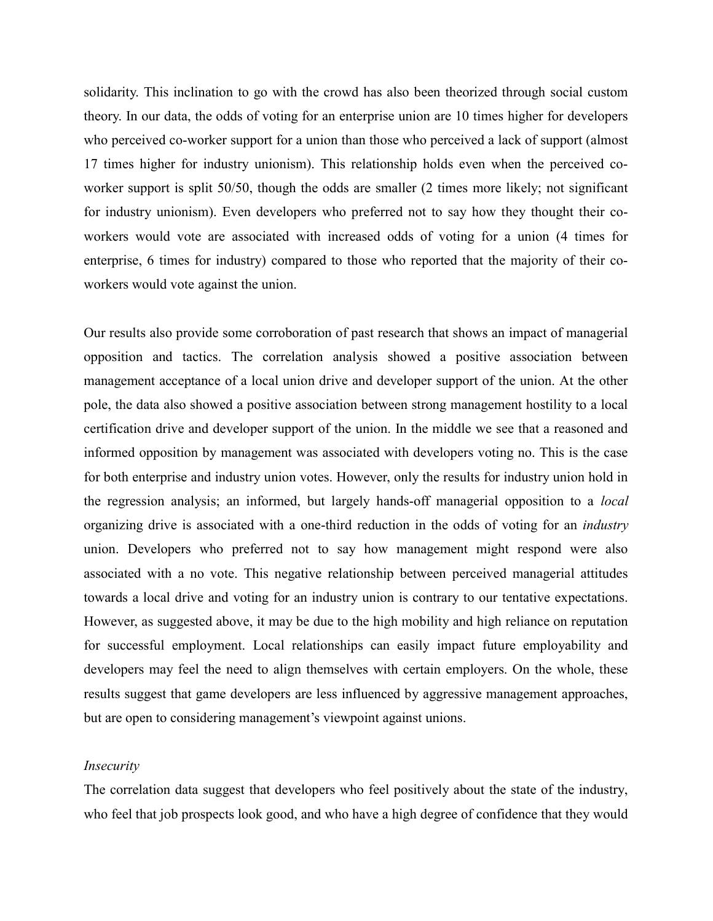solidarity. This inclination to go with the crowd has also been theorized through social custom theory. In our data, the odds of voting for an enterprise union are 10 times higher for developers who perceived co-worker support for a union than those who perceived a lack of support (almost 17 times higher for industry unionism). This relationship holds even when the perceived coworker support is split 50/50, though the odds are smaller (2 times more likely; not significant for industry unionism). Even developers who preferred not to say how they thought their coworkers would vote are associated with increased odds of voting for a union (4 times for enterprise, 6 times for industry) compared to those who reported that the majority of their coworkers would vote against the union.

Our results also provide some corroboration of past research that shows an impact of managerial opposition and tactics. The correlation analysis showed a positive association between management acceptance of a local union drive and developer support of the union. At the other pole, the data also showed a positive association between strong management hostility to a local certification drive and developer support of the union. In the middle we see that a reasoned and informed opposition by management was associated with developers voting no. This is the case for both enterprise and industry union votes. However, only the results for industry union hold in the regression analysis; an informed, but largely hands-off managerial opposition to a *local* organizing drive is associated with a one-third reduction in the odds of voting for an industry union. Developers who preferred not to say how management might respond were also associated with a no vote. This negative relationship between perceived managerial attitudes towards a local drive and voting for an industry union is contrary to our tentative expectations. However, as suggested above, it may be due to the high mobility and high reliance on reputation for successful employment. Local relationships can easily impact future employability and developers may feel the need to align themselves with certain employers. On the whole, these results suggest that game developers are less influenced by aggressive management approaches, but are open to considering management's viewpoint against unions.

#### Insecurity

The correlation data suggest that developers who feel positively about the state of the industry, who feel that job prospects look good, and who have a high degree of confidence that they would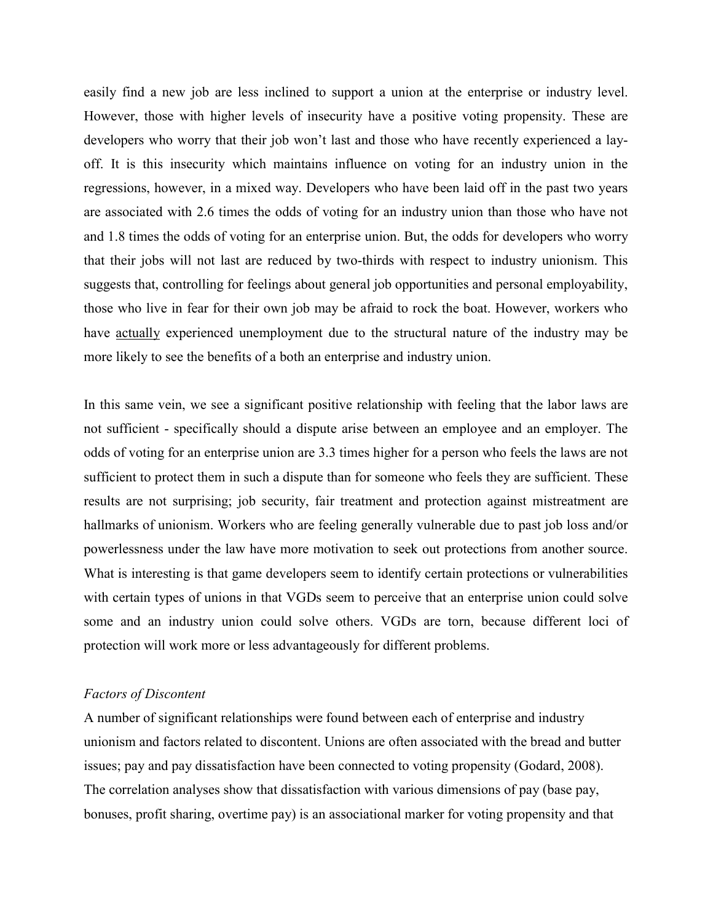easily find a new job are less inclined to support a union at the enterprise or industry level. However, those with higher levels of insecurity have a positive voting propensity. These are developers who worry that their job won't last and those who have recently experienced a layoff. It is this insecurity which maintains influence on voting for an industry union in the regressions, however, in a mixed way. Developers who have been laid off in the past two years are associated with 2.6 times the odds of voting for an industry union than those who have not and 1.8 times the odds of voting for an enterprise union. But, the odds for developers who worry that their jobs will not last are reduced by two-thirds with respect to industry unionism. This suggests that, controlling for feelings about general job opportunities and personal employability, those who live in fear for their own job may be afraid to rock the boat. However, workers who have actually experienced unemployment due to the structural nature of the industry may be more likely to see the benefits of a both an enterprise and industry union.

In this same vein, we see a significant positive relationship with feeling that the labor laws are not sufficient - specifically should a dispute arise between an employee and an employer. The odds of voting for an enterprise union are 3.3 times higher for a person who feels the laws are not sufficient to protect them in such a dispute than for someone who feels they are sufficient. These results are not surprising; job security, fair treatment and protection against mistreatment are hallmarks of unionism. Workers who are feeling generally vulnerable due to past job loss and/or powerlessness under the law have more motivation to seek out protections from another source. What is interesting is that game developers seem to identify certain protections or vulnerabilities with certain types of unions in that VGDs seem to perceive that an enterprise union could solve some and an industry union could solve others. VGDs are torn, because different loci of protection will work more or less advantageously for different problems.

#### Factors of Discontent

A number of significant relationships were found between each of enterprise and industry unionism and factors related to discontent. Unions are often associated with the bread and butter issues; pay and pay dissatisfaction have been connected to voting propensity (Godard, 2008). The correlation analyses show that dissatisfaction with various dimensions of pay (base pay, bonuses, profit sharing, overtime pay) is an associational marker for voting propensity and that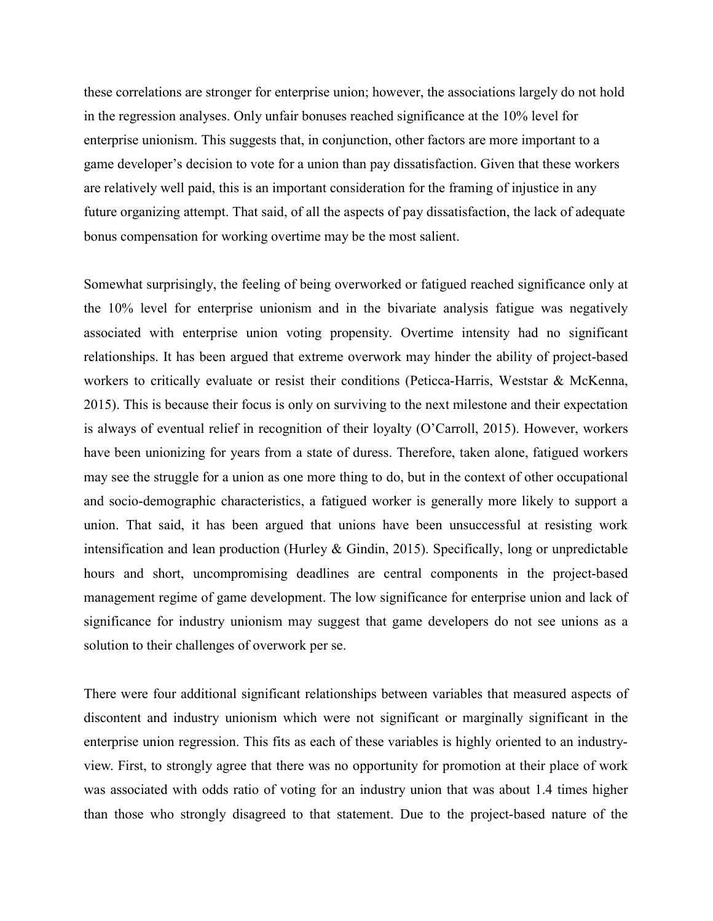these correlations are stronger for enterprise union; however, the associations largely do not hold in the regression analyses. Only unfair bonuses reached significance at the 10% level for enterprise unionism. This suggests that, in conjunction, other factors are more important to a game developer's decision to vote for a union than pay dissatisfaction. Given that these workers are relatively well paid, this is an important consideration for the framing of injustice in any future organizing attempt. That said, of all the aspects of pay dissatisfaction, the lack of adequate bonus compensation for working overtime may be the most salient.

Somewhat surprisingly, the feeling of being overworked or fatigued reached significance only at the 10% level for enterprise unionism and in the bivariate analysis fatigue was negatively associated with enterprise union voting propensity. Overtime intensity had no significant relationships. It has been argued that extreme overwork may hinder the ability of project-based workers to critically evaluate or resist their conditions (Peticca-Harris, Weststar & McKenna, 2015). This is because their focus is only on surviving to the next milestone and their expectation is always of eventual relief in recognition of their loyalty (O'Carroll, 2015). However, workers have been unionizing for years from a state of duress. Therefore, taken alone, fatigued workers may see the struggle for a union as one more thing to do, but in the context of other occupational and socio-demographic characteristics, a fatigued worker is generally more likely to support a union. That said, it has been argued that unions have been unsuccessful at resisting work intensification and lean production (Hurley & Gindin, 2015). Specifically, long or unpredictable hours and short, uncompromising deadlines are central components in the project-based management regime of game development. The low significance for enterprise union and lack of significance for industry unionism may suggest that game developers do not see unions as a solution to their challenges of overwork per se.

There were four additional significant relationships between variables that measured aspects of discontent and industry unionism which were not significant or marginally significant in the enterprise union regression. This fits as each of these variables is highly oriented to an industryview. First, to strongly agree that there was no opportunity for promotion at their place of work was associated with odds ratio of voting for an industry union that was about 1.4 times higher than those who strongly disagreed to that statement. Due to the project-based nature of the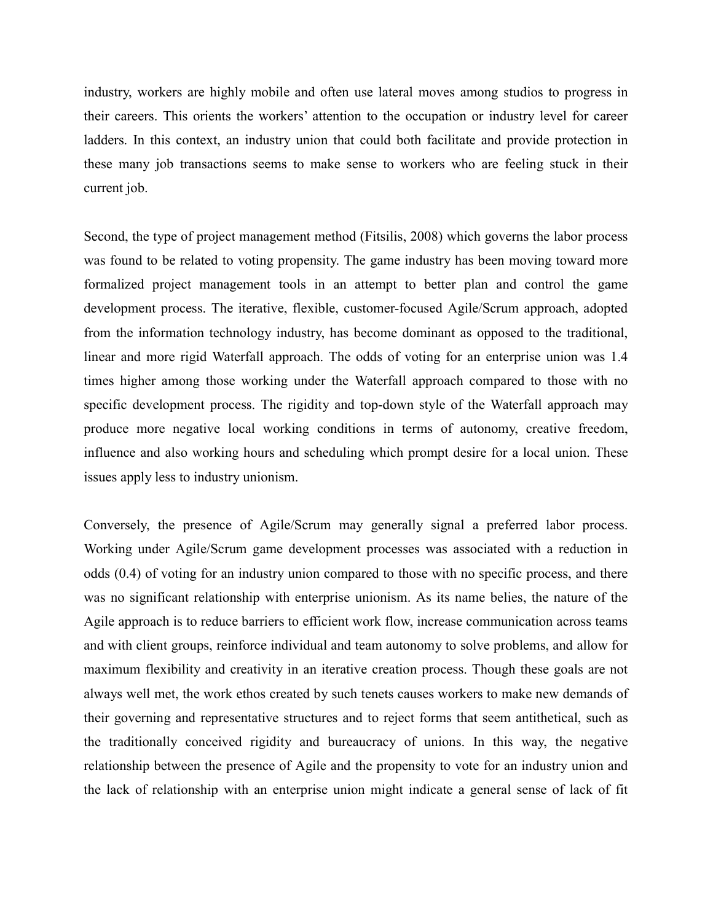industry, workers are highly mobile and often use lateral moves among studios to progress in their careers. This orients the workers' attention to the occupation or industry level for career ladders. In this context, an industry union that could both facilitate and provide protection in these many job transactions seems to make sense to workers who are feeling stuck in their current job.

Second, the type of project management method (Fitsilis, 2008) which governs the labor process was found to be related to voting propensity. The game industry has been moving toward more formalized project management tools in an attempt to better plan and control the game development process. The iterative, flexible, customer-focused Agile/Scrum approach, adopted from the information technology industry, has become dominant as opposed to the traditional, linear and more rigid Waterfall approach. The odds of voting for an enterprise union was 1.4 times higher among those working under the Waterfall approach compared to those with no specific development process. The rigidity and top-down style of the Waterfall approach may produce more negative local working conditions in terms of autonomy, creative freedom, influence and also working hours and scheduling which prompt desire for a local union. These issues apply less to industry unionism.

Conversely, the presence of Agile/Scrum may generally signal a preferred labor process. Working under Agile/Scrum game development processes was associated with a reduction in odds (0.4) of voting for an industry union compared to those with no specific process, and there was no significant relationship with enterprise unionism. As its name belies, the nature of the Agile approach is to reduce barriers to efficient work flow, increase communication across teams and with client groups, reinforce individual and team autonomy to solve problems, and allow for maximum flexibility and creativity in an iterative creation process. Though these goals are not always well met, the work ethos created by such tenets causes workers to make new demands of their governing and representative structures and to reject forms that seem antithetical, such as the traditionally conceived rigidity and bureaucracy of unions. In this way, the negative relationship between the presence of Agile and the propensity to vote for an industry union and the lack of relationship with an enterprise union might indicate a general sense of lack of fit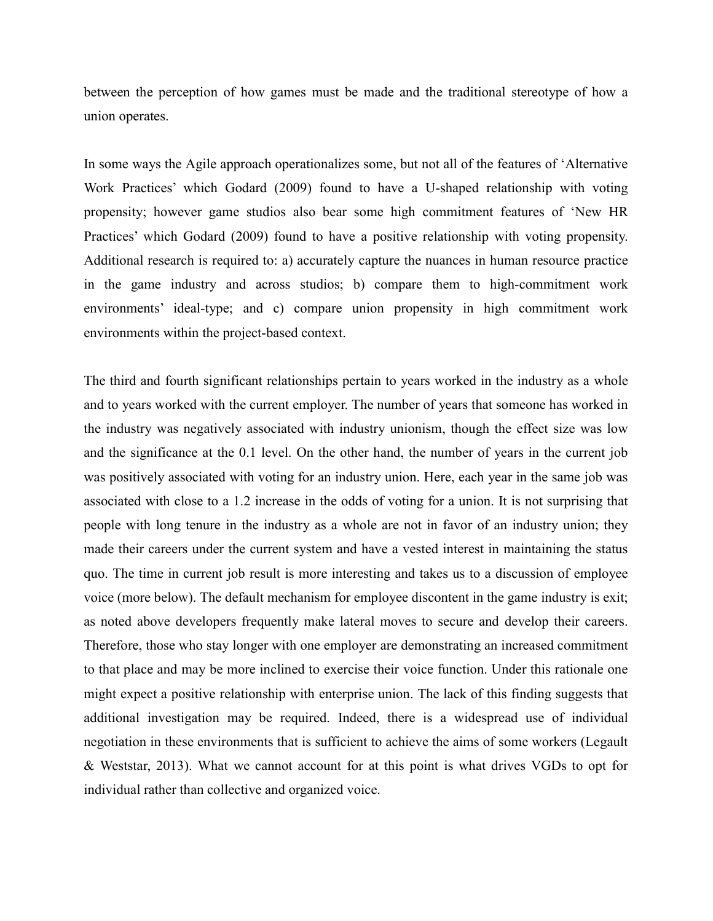between the perception of how games must be made and the traditional stereotype of how a union operates.

In some ways the Agile approach operationalizes some, but not all of the features of 'Alternative Work Practices' which Godard (2009) found to have a U-shaped relationship with voting propensity; however game studios also bear some high commitment features of 'New HR Practices' which Godard (2009) found to have a positive relationship with voting propensity. Additional research is required to: a) accurately capture the nuances in human resource practice in the game industry and across studios; b) compare them to high-commitment work environments' ideal-type; and c) compare union propensity in high commitment work environments within the project-based context.

The third and fourth significant relationships pertain to years worked in the industry as a whole and to years worked with the current employer. The number of years that someone has worked in the industry was negatively associated with industry unionism, though the effect size was low and the significance at the 0.1 level. On the other hand, the number of years in the current job was positively associated with voting for an industry union. Here, each year in the same job was associated with close to a 1.2 increase in the odds of voting for a union. It is not surprising that people with long tenure in the industry as a whole are not in favor of an industry union; they made their careers under the current system and have a vested interest in maintaining the status quo. The time in current job result is more interesting and takes us to a discussion of employee voice (more below). The default mechanism for employee discontent in the game industry is exit; as noted above developers frequently make lateral moves to secure and develop their careers. Therefore, those who stay longer with one employer are demonstrating an increased commitment to that place and may be more inclined to exercise their voice function. Under this rationale one might expect a positive relationship with enterprise union. The lack of this finding suggests that additional investigation may be required. Indeed, there is a widespread use of individual negotiation in these environments that is sufficient to achieve the aims of some workers (Legault & Weststar, 2013). What we cannot account for at this point is what drives VGDs to opt for individual rather than collective and organized voice.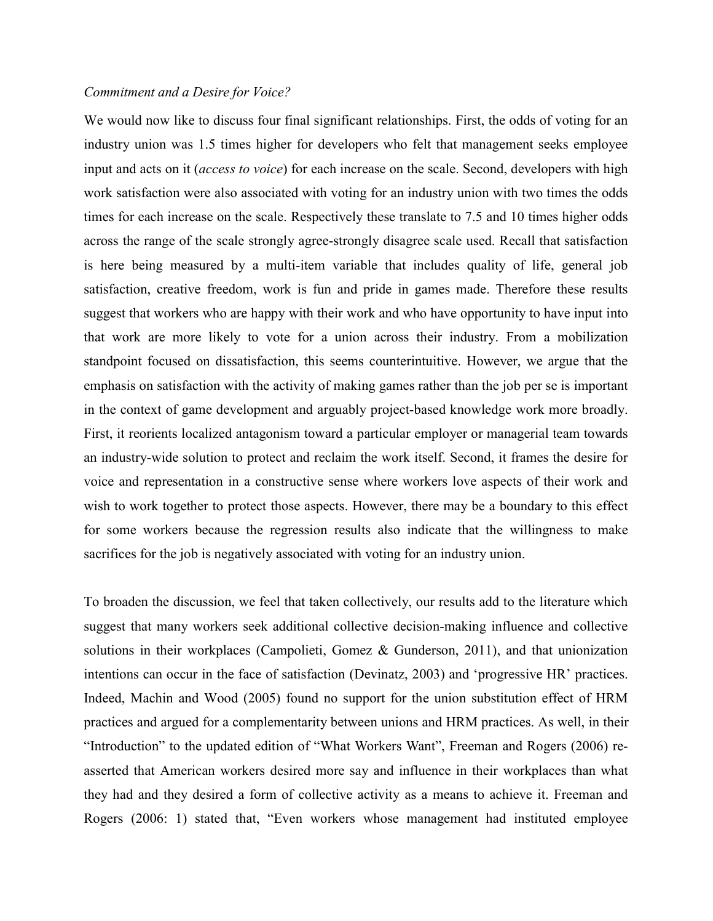#### Commitment and a Desire for Voice?

We would now like to discuss four final significant relationships. First, the odds of voting for an industry union was 1.5 times higher for developers who felt that management seeks employee input and acts on it (access to voice) for each increase on the scale. Second, developers with high work satisfaction were also associated with voting for an industry union with two times the odds times for each increase on the scale. Respectively these translate to 7.5 and 10 times higher odds across the range of the scale strongly agree-strongly disagree scale used. Recall that satisfaction is here being measured by a multi-item variable that includes quality of life, general job satisfaction, creative freedom, work is fun and pride in games made. Therefore these results suggest that workers who are happy with their work and who have opportunity to have input into that work are more likely to vote for a union across their industry. From a mobilization standpoint focused on dissatisfaction, this seems counterintuitive. However, we argue that the emphasis on satisfaction with the activity of making games rather than the job per se is important in the context of game development and arguably project-based knowledge work more broadly. First, it reorients localized antagonism toward a particular employer or managerial team towards an industry-wide solution to protect and reclaim the work itself. Second, it frames the desire for voice and representation in a constructive sense where workers love aspects of their work and wish to work together to protect those aspects. However, there may be a boundary to this effect for some workers because the regression results also indicate that the willingness to make sacrifices for the job is negatively associated with voting for an industry union.

To broaden the discussion, we feel that taken collectively, our results add to the literature which suggest that many workers seek additional collective decision-making influence and collective solutions in their workplaces (Campolieti, Gomez & Gunderson, 2011), and that unionization intentions can occur in the face of satisfaction (Devinatz, 2003) and 'progressive HR' practices. Indeed, Machin and Wood (2005) found no support for the union substitution effect of HRM practices and argued for a complementarity between unions and HRM practices. As well, in their "Introduction" to the updated edition of "What Workers Want", Freeman and Rogers (2006) reasserted that American workers desired more say and influence in their workplaces than what they had and they desired a form of collective activity as a means to achieve it. Freeman and Rogers (2006: 1) stated that, "Even workers whose management had instituted employee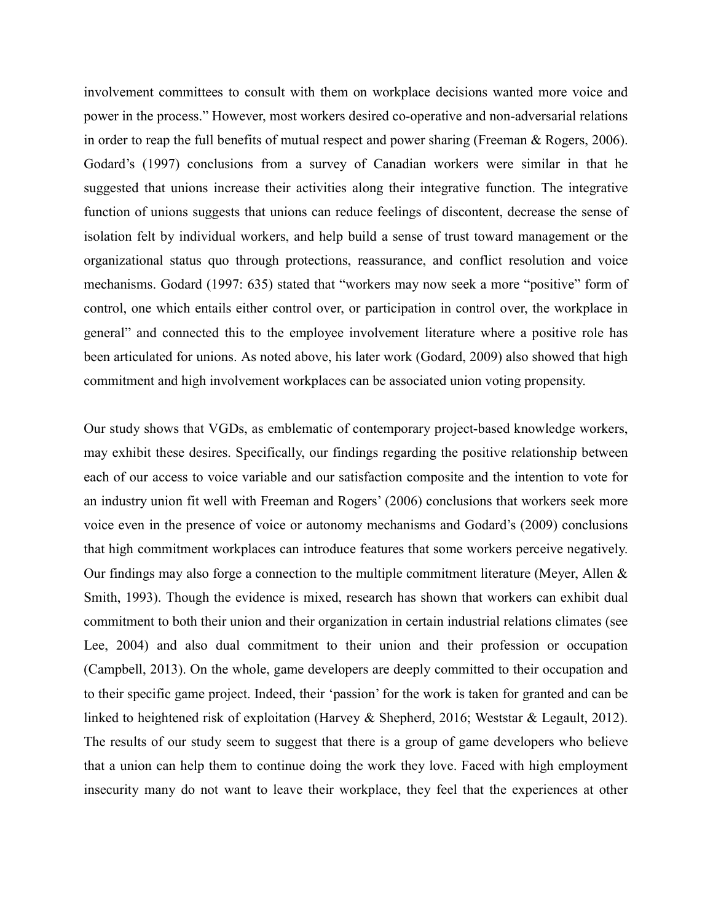involvement committees to consult with them on workplace decisions wanted more voice and power in the process." However, most workers desired co-operative and non-adversarial relations in order to reap the full benefits of mutual respect and power sharing (Freeman & Rogers, 2006). Godard's (1997) conclusions from a survey of Canadian workers were similar in that he suggested that unions increase their activities along their integrative function. The integrative function of unions suggests that unions can reduce feelings of discontent, decrease the sense of isolation felt by individual workers, and help build a sense of trust toward management or the organizational status quo through protections, reassurance, and conflict resolution and voice mechanisms. Godard (1997: 635) stated that "workers may now seek a more "positive" form of control, one which entails either control over, or participation in control over, the workplace in general" and connected this to the employee involvement literature where a positive role has been articulated for unions. As noted above, his later work (Godard, 2009) also showed that high commitment and high involvement workplaces can be associated union voting propensity.

Our study shows that VGDs, as emblematic of contemporary project-based knowledge workers, may exhibit these desires. Specifically, our findings regarding the positive relationship between each of our access to voice variable and our satisfaction composite and the intention to vote for an industry union fit well with Freeman and Rogers' (2006) conclusions that workers seek more voice even in the presence of voice or autonomy mechanisms and Godard's (2009) conclusions that high commitment workplaces can introduce features that some workers perceive negatively. Our findings may also forge a connection to the multiple commitment literature (Meyer, Allen  $\&$ Smith, 1993). Though the evidence is mixed, research has shown that workers can exhibit dual commitment to both their union and their organization in certain industrial relations climates (see Lee, 2004) and also dual commitment to their union and their profession or occupation (Campbell, 2013). On the whole, game developers are deeply committed to their occupation and to their specific game project. Indeed, their 'passion' for the work is taken for granted and can be linked to heightened risk of exploitation (Harvey & Shepherd, 2016; Weststar & Legault, 2012). The results of our study seem to suggest that there is a group of game developers who believe that a union can help them to continue doing the work they love. Faced with high employment insecurity many do not want to leave their workplace, they feel that the experiences at other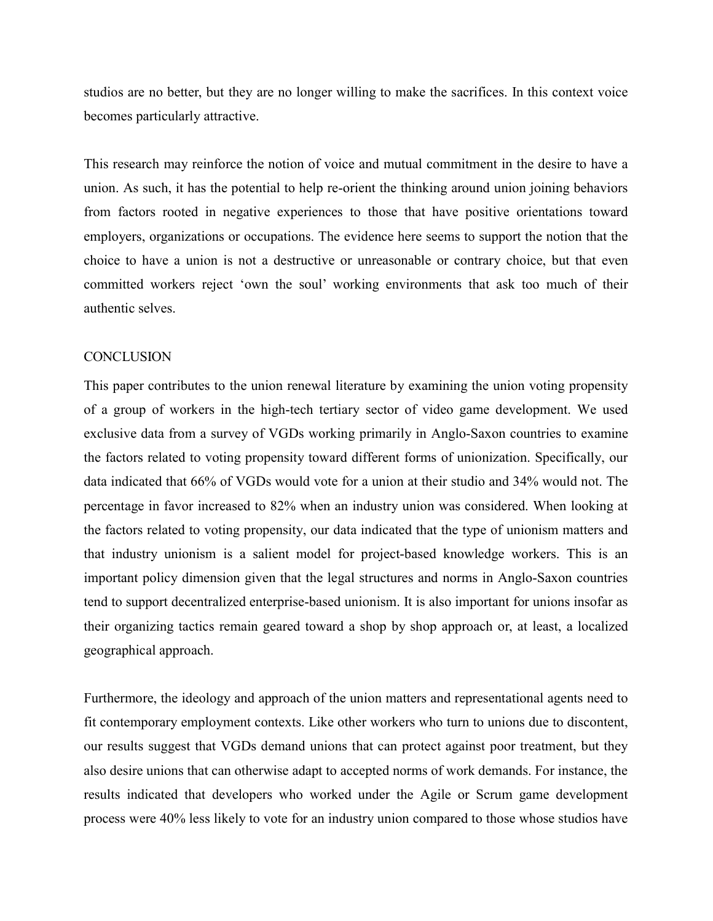studios are no better, but they are no longer willing to make the sacrifices. In this context voice becomes particularly attractive.

This research may reinforce the notion of voice and mutual commitment in the desire to have a union. As such, it has the potential to help re-orient the thinking around union joining behaviors from factors rooted in negative experiences to those that have positive orientations toward employers, organizations or occupations. The evidence here seems to support the notion that the choice to have a union is not a destructive or unreasonable or contrary choice, but that even committed workers reject 'own the soul' working environments that ask too much of their authentic selves.

#### **CONCLUSION**

This paper contributes to the union renewal literature by examining the union voting propensity of a group of workers in the high-tech tertiary sector of video game development. We used exclusive data from a survey of VGDs working primarily in Anglo-Saxon countries to examine the factors related to voting propensity toward different forms of unionization. Specifically, our data indicated that 66% of VGDs would vote for a union at their studio and 34% would not. The percentage in favor increased to 82% when an industry union was considered. When looking at the factors related to voting propensity, our data indicated that the type of unionism matters and that industry unionism is a salient model for project-based knowledge workers. This is an important policy dimension given that the legal structures and norms in Anglo-Saxon countries tend to support decentralized enterprise-based unionism. It is also important for unions insofar as their organizing tactics remain geared toward a shop by shop approach or, at least, a localized geographical approach.

Furthermore, the ideology and approach of the union matters and representational agents need to fit contemporary employment contexts. Like other workers who turn to unions due to discontent, our results suggest that VGDs demand unions that can protect against poor treatment, but they also desire unions that can otherwise adapt to accepted norms of work demands. For instance, the results indicated that developers who worked under the Agile or Scrum game development process were 40% less likely to vote for an industry union compared to those whose studios have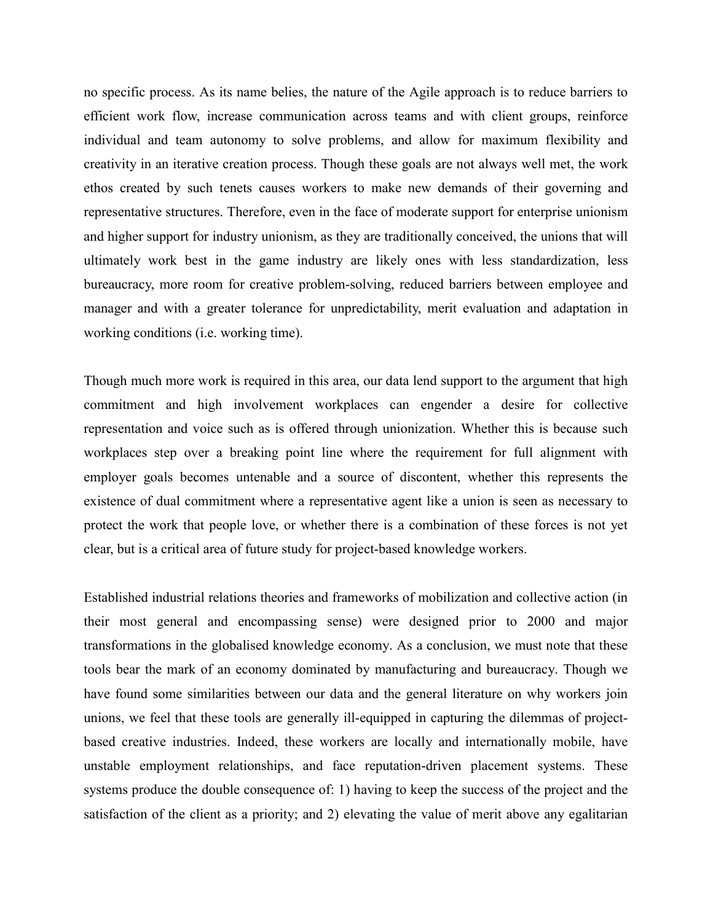no specific process. As its name belies, the nature of the Agile approach is to reduce barriers to efficient work flow, increase communication across teams and with client groups, reinforce individual and team autonomy to solve problems, and allow for maximum flexibility and creativity in an iterative creation process. Though these goals are not always well met, the work ethos created by such tenets causes workers to make new demands of their governing and representative structures. Therefore, even in the face of moderate support for enterprise unionism and higher support for industry unionism, as they are traditionally conceived, the unions that will ultimately work best in the game industry are likely ones with less standardization, less bureaucracy, more room for creative problem-solving, reduced barriers between employee and manager and with a greater tolerance for unpredictability, merit evaluation and adaptation in working conditions (i.e. working time).

Though much more work is required in this area, our data lend support to the argument that high commitment and high involvement workplaces can engender a desire for collective representation and voice such as is offered through unionization. Whether this is because such workplaces step over a breaking point line where the requirement for full alignment with employer goals becomes untenable and a source of discontent, whether this represents the existence of dual commitment where a representative agent like a union is seen as necessary to protect the work that people love, or whether there is a combination of these forces is not yet clear, but is a critical area of future study for project-based knowledge workers.

Established industrial relations theories and frameworks of mobilization and collective action (in their most general and encompassing sense) were designed prior to 2000 and major transformations in the globalised knowledge economy. As a conclusion, we must note that these tools bear the mark of an economy dominated by manufacturing and bureaucracy. Though we have found some similarities between our data and the general literature on why workers join unions, we feel that these tools are generally ill-equipped in capturing the dilemmas of projectbased creative industries. Indeed, these workers are locally and internationally mobile, have unstable employment relationships, and face reputation-driven placement systems. These systems produce the double consequence of: 1) having to keep the success of the project and the satisfaction of the client as a priority; and 2) elevating the value of merit above any egalitarian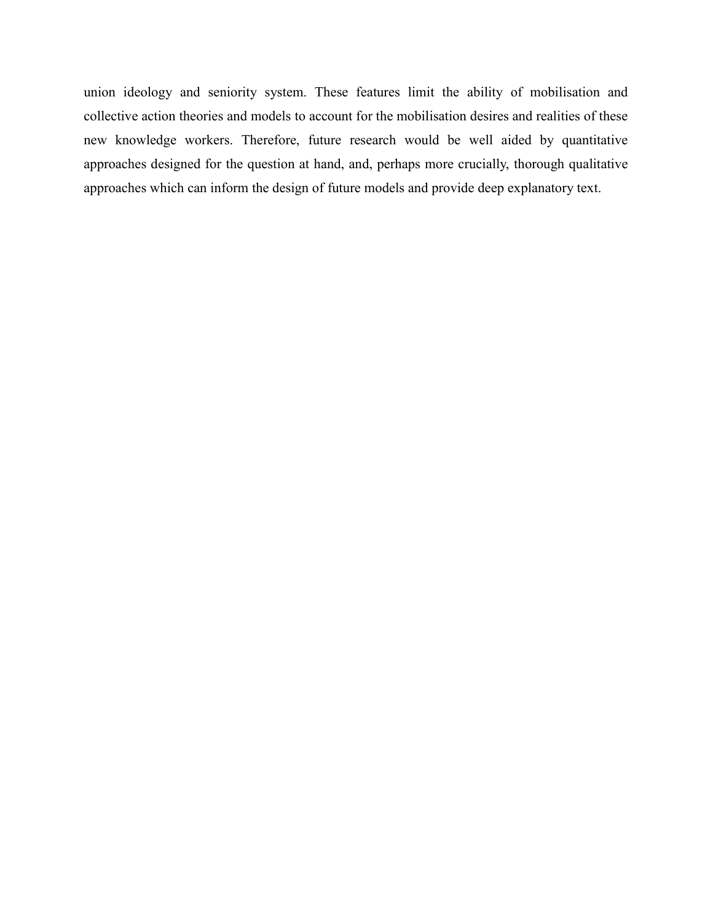union ideology and seniority system. These features limit the ability of mobilisation and collective action theories and models to account for the mobilisation desires and realities of these new knowledge workers. Therefore, future research would be well aided by quantitative approaches designed for the question at hand, and, perhaps more crucially, thorough qualitative approaches which can inform the design of future models and provide deep explanatory text.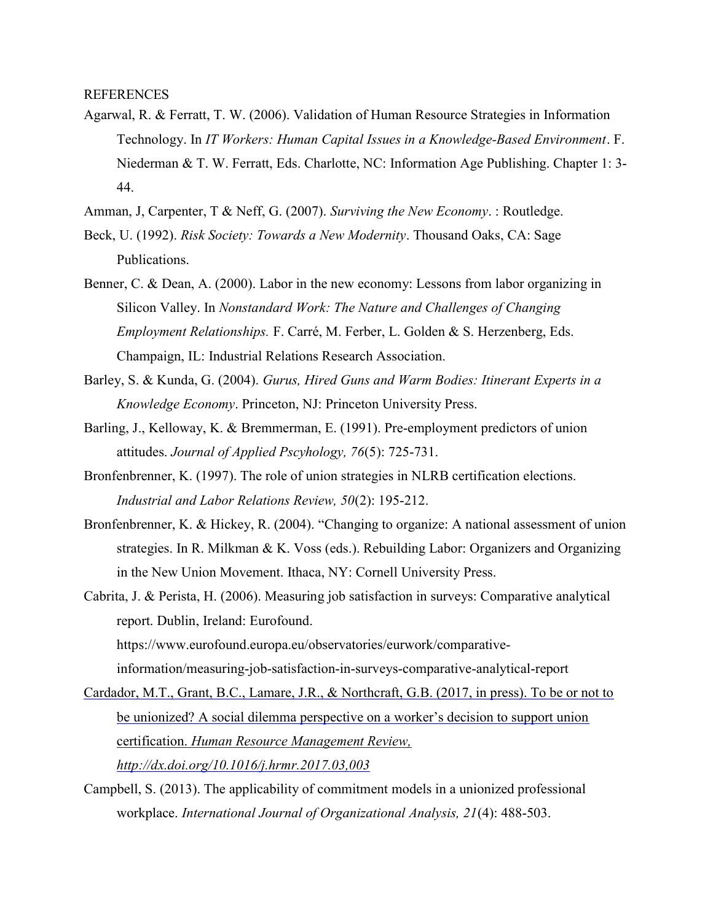**REFERENCES** 

- Agarwal, R. & Ferratt, T. W. (2006). Validation of Human Resource Strategies in Information Technology. In IT Workers: Human Capital Issues in a Knowledge-Based Environment. F. Niederman & T. W. Ferratt, Eds. Charlotte, NC: Information Age Publishing. Chapter 1: 3- 44.
- Amman, J, Carpenter, T & Neff, G. (2007). Surviving the New Economy. : Routledge.
- Beck, U. (1992). Risk Society: Towards a New Modernity. Thousand Oaks, CA: Sage Publications.
- Benner, C. & Dean, A. (2000). Labor in the new economy: Lessons from labor organizing in Silicon Valley. In Nonstandard Work: The Nature and Challenges of Changing Employment Relationships. F. Carré, M. Ferber, L. Golden & S. Herzenberg, Eds. Champaign, IL: Industrial Relations Research Association.
- Barley, S. & Kunda, G. (2004). Gurus, Hired Guns and Warm Bodies: Itinerant Experts in a Knowledge Economy. Princeton, NJ: Princeton University Press.
- Barling, J., Kelloway, K. & Bremmerman, E. (1991). Pre-employment predictors of union attitudes. Journal of Applied Pscyhology, 76(5): 725-731.
- Bronfenbrenner, K. (1997). The role of union strategies in NLRB certification elections. Industrial and Labor Relations Review, 50(2): 195-212.
- Bronfenbrenner, K. & Hickey, R. (2004). "Changing to organize: A national assessment of union strategies. In R. Milkman & K. Voss (eds.). Rebuilding Labor: Organizers and Organizing in the New Union Movement. Ithaca, NY: Cornell University Press.
- Cabrita, J. & Perista, H. (2006). Measuring job satisfaction in surveys: Comparative analytical report. Dublin, Ireland: Eurofound. https://www.eurofound.europa.eu/observatories/eurwork/comparativeinformation/measuring-job-satisfaction-in-surveys-comparative-analytical-report
- Cardador, M.T., Grant, B.C., Lamare, J.R., & Northcraft, G.B. (2017, in press). To be or not to be unionized? A social dilemma perspective on a worker's decision to support union certification. Human Resource Management Review, http://dx.doi.org/10.1016/j.hrmr.2017.03,003
- Campbell, S. (2013). The applicability of commitment models in a unionized professional workplace. International Journal of Organizational Analysis, 21(4): 488-503.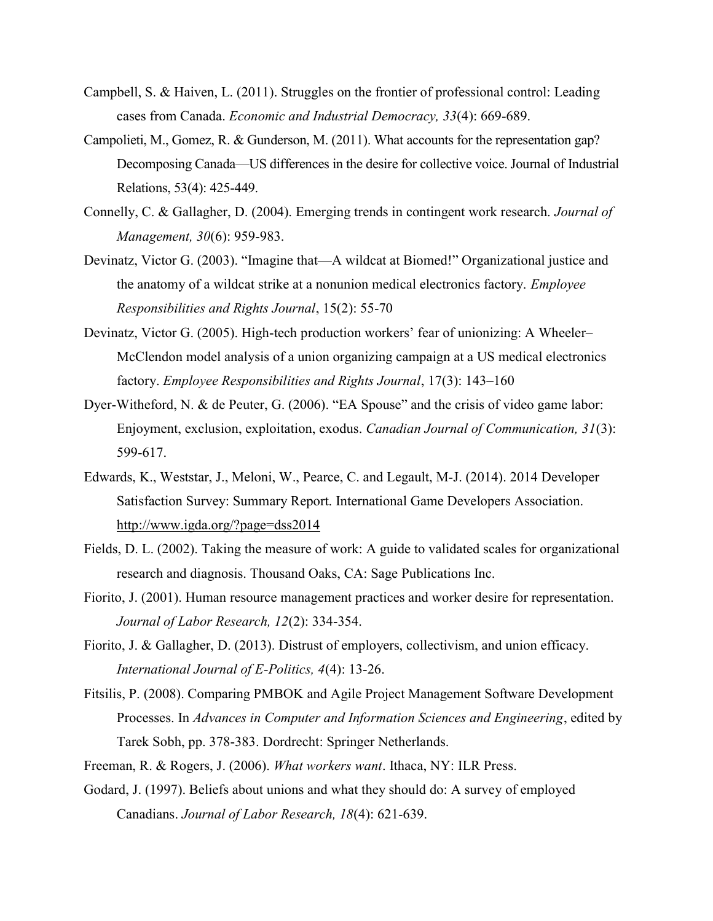- Campbell, S. & Haiven, L. (2011). Struggles on the frontier of professional control: Leading cases from Canada. Economic and Industrial Democracy, 33(4): 669-689.
- Campolieti, M., Gomez, R. & Gunderson, M. (2011). What accounts for the representation gap? Decomposing Canada—US differences in the desire for collective voice. Journal of Industrial Relations, 53(4): 425-449.
- Connelly, C. & Gallagher, D. (2004). Emerging trends in contingent work research. Journal of Management, 30(6): 959-983.
- Devinatz, Victor G. (2003). "Imagine that—A wildcat at Biomed!" Organizational justice and the anatomy of a wildcat strike at a nonunion medical electronics factory. Employee Responsibilities and Rights Journal, 15(2): 55-70
- Devinatz, Victor G. (2005). High-tech production workers' fear of unionizing: A Wheeler– McClendon model analysis of a union organizing campaign at a US medical electronics factory. Employee Responsibilities and Rights Journal, 17(3): 143–160
- Dyer-Witheford, N. & de Peuter, G. (2006). "EA Spouse" and the crisis of video game labor: Enjoyment, exclusion, exploitation, exodus. Canadian Journal of Communication, 31(3): 599-617.
- Edwards, K., Weststar, J., Meloni, W., Pearce, C. and Legault, M-J. (2014). 2014 Developer Satisfaction Survey: Summary Report. International Game Developers Association. http://www.igda.org/?page=dss2014
- Fields, D. L. (2002). Taking the measure of work: A guide to validated scales for organizational research and diagnosis. Thousand Oaks, CA: Sage Publications Inc.
- Fiorito, J. (2001). Human resource management practices and worker desire for representation. Journal of Labor Research, 12(2): 334-354.
- Fiorito, J. & Gallagher, D. (2013). Distrust of employers, collectivism, and union efficacy. International Journal of E-Politics, 4(4): 13-26.
- Fitsilis, P. (2008). Comparing PMBOK and Agile Project Management Software Development Processes. In Advances in Computer and Information Sciences and Engineering, edited by Tarek Sobh, pp. 378-383. Dordrecht: Springer Netherlands.
- Freeman, R. & Rogers, J. (2006). What workers want. Ithaca, NY: ILR Press.
- Godard, J. (1997). Beliefs about unions and what they should do: A survey of employed Canadians. Journal of Labor Research, 18(4): 621-639.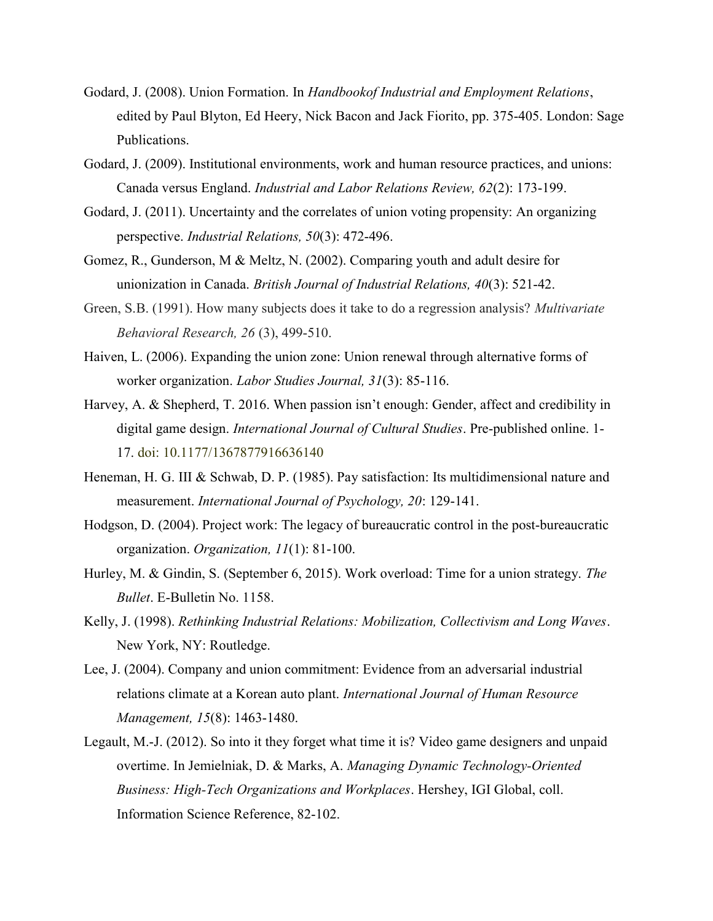- Godard, J. (2008). Union Formation. In Handbookof Industrial and Employment Relations, edited by Paul Blyton, Ed Heery, Nick Bacon and Jack Fiorito, pp. 375-405. London: Sage Publications.
- Godard, J. (2009). Institutional environments, work and human resource practices, and unions: Canada versus England. Industrial and Labor Relations Review, 62(2): 173-199.
- Godard, J. (2011). Uncertainty and the correlates of union voting propensity: An organizing perspective. Industrial Relations, 50(3): 472-496.
- Gomez, R., Gunderson, M & Meltz, N. (2002). Comparing youth and adult desire for unionization in Canada. British Journal of Industrial Relations, 40(3): 521-42.
- Green, S.B. (1991). How many subjects does it take to do a regression analysis? Multivariate Behavioral Research, 26 (3), 499-510.
- Haiven, L. (2006). Expanding the union zone: Union renewal through alternative forms of worker organization. Labor Studies Journal, 31(3): 85-116.
- Harvey, A. & Shepherd, T. 2016. When passion isn't enough: Gender, affect and credibility in digital game design. *International Journal of Cultural Studies*. Pre-published online. 1-17. doi: 10.1177/1367877916636140
- Heneman, H. G. III & Schwab, D. P. (1985). Pay satisfaction: Its multidimensional nature and measurement. International Journal of Psychology, 20: 129-141.
- Hodgson, D. (2004). Project work: The legacy of bureaucratic control in the post-bureaucratic organization. Organization, 11(1): 81-100.
- Hurley, M. & Gindin, S. (September 6, 2015). Work overload: Time for a union strategy. The Bullet. E-Bulletin No. 1158.
- Kelly, J. (1998). Rethinking Industrial Relations: Mobilization, Collectivism and Long Waves. New York, NY: Routledge.
- Lee, J. (2004). Company and union commitment: Evidence from an adversarial industrial relations climate at a Korean auto plant. International Journal of Human Resource Management, 15(8): 1463-1480.
- Legault, M.-J. (2012). So into it they forget what time it is? Video game designers and unpaid overtime. In Jemielniak, D. & Marks, A. Managing Dynamic Technology-Oriented Business: High-Tech Organizations and Workplaces. Hershey, IGI Global, coll. Information Science Reference, 82-102.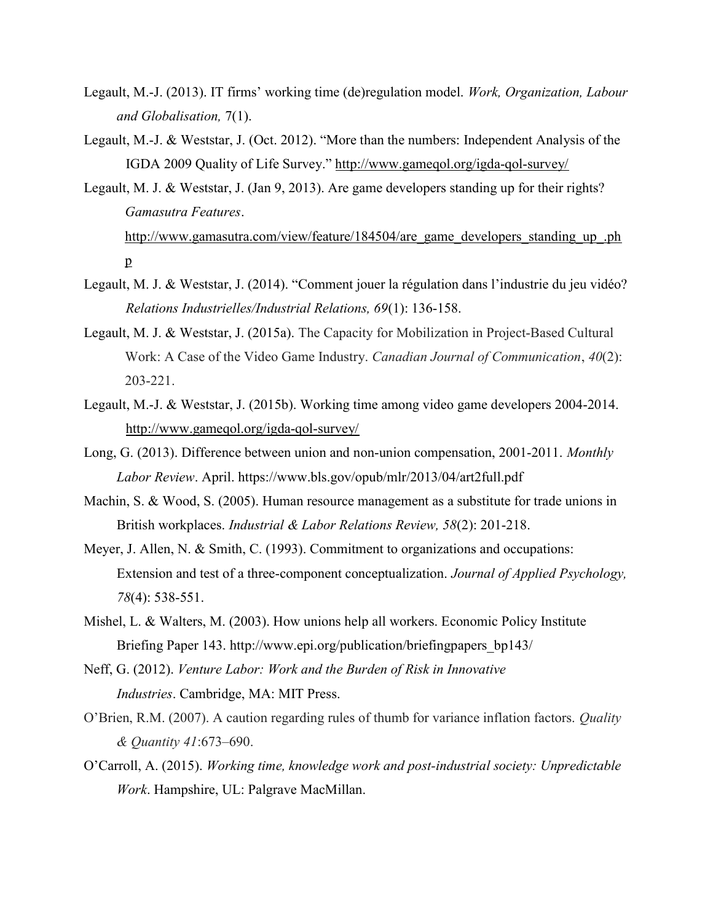- Legault, M.-J. (2013). IT firms' working time (de)regulation model. Work, Organization, Labour and Globalisation, 7(1).
- Legault, M.-J. & Weststar, J. (Oct. 2012). "More than the numbers: Independent Analysis of the IGDA 2009 Quality of Life Survey." http://www.gameqol.org/igda-qol-survey/
- Legault, M. J. & Weststar, J. (Jan 9, 2013). Are game developers standing up for their rights? Gamasutra Features. http://www.gamasutra.com/view/feature/184504/are\_game\_developers\_standing\_up\_.ph p
- Legault, M. J. & Weststar, J. (2014). "Comment jouer la régulation dans l'industrie du jeu vidéo? Relations Industrielles/Industrial Relations, 69(1): 136-158.
- Legault, M. J. & Weststar, J. (2015a). The Capacity for Mobilization in Project-Based Cultural Work: A Case of the Video Game Industry. Canadian Journal of Communication, 40(2): 203-221.
- Legault, M.-J. & Weststar, J. (2015b). Working time among video game developers 2004-2014. http://www.gameqol.org/igda-qol-survey/
- Long, G. (2013). Difference between union and non-union compensation, 2001-2011. Monthly Labor Review. April. https://www.bls.gov/opub/mlr/2013/04/art2full.pdf
- Machin, S. & Wood, S. (2005). Human resource management as a substitute for trade unions in British workplaces. Industrial & Labor Relations Review, 58(2): 201-218.
- Meyer, J. Allen, N. & Smith, C. (1993). Commitment to organizations and occupations: Extension and test of a three-component conceptualization. Journal of Applied Psychology, 78(4): 538-551.
- Mishel, L. & Walters, M. (2003). How unions help all workers. Economic Policy Institute Briefing Paper 143. http://www.epi.org/publication/briefingpapers\_bp143/
- Neff, G. (2012). Venture Labor: Work and the Burden of Risk in Innovative Industries. Cambridge, MA: MIT Press.
- O'Brien, R.M. (2007). A caution regarding rules of thumb for variance inflation factors. Quality & Quantity 41:673–690.
- O'Carroll, A. (2015). Working time, knowledge work and post-industrial society: Unpredictable Work. Hampshire, UL: Palgrave MacMillan.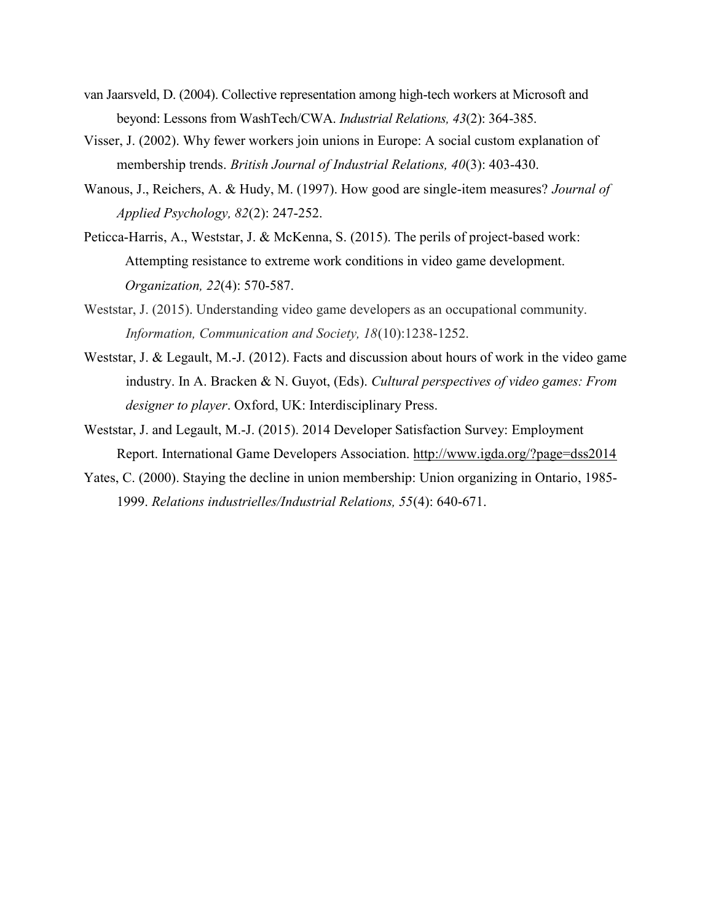- van Jaarsveld, D. (2004). Collective representation among high-tech workers at Microsoft and beyond: Lessons from WashTech/CWA. Industrial Relations, 43(2): 364-385.
- Visser, J. (2002). Why fewer workers join unions in Europe: A social custom explanation of membership trends. British Journal of Industrial Relations, 40(3): 403-430.
- Wanous, J., Reichers, A. & Hudy, M. (1997). How good are single-item measures? Journal of Applied Psychology, 82(2): 247-252.
- Peticca-Harris, A., Weststar, J. & McKenna, S. (2015). The perils of project-based work: Attempting resistance to extreme work conditions in video game development. Organization, 22(4): 570-587.
- Weststar, J. (2015). Understanding video game developers as an occupational community. Information, Communication and Society, 18(10):1238-1252.
- Weststar, J. & Legault, M.-J. (2012). Facts and discussion about hours of work in the video game industry. In A. Bracken & N. Guyot, (Eds). Cultural perspectives of video games: From designer to player. Oxford, UK: Interdisciplinary Press.
- Weststar, J. and Legault, M.-J. (2015). 2014 Developer Satisfaction Survey: Employment Report. International Game Developers Association. http://www.igda.org/?page=dss2014
- Yates, C. (2000). Staying the decline in union membership: Union organizing in Ontario, 1985- 1999. Relations industrielles/Industrial Relations, 55(4): 640-671.